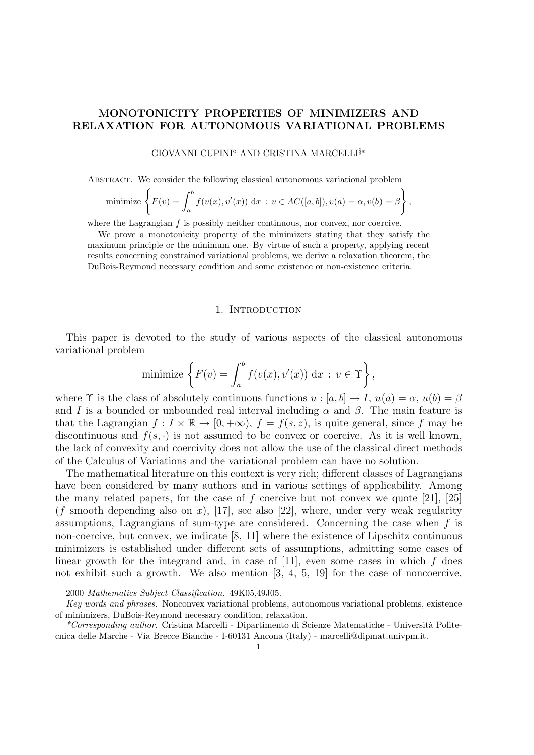# MONOTONICITY PROPERTIES OF MINIMIZERS AND RELAXATION FOR AUTONOMOUS VARIATIONAL PROBLEMS

# GIOVANNI CUPINI<sup>®</sup> AND CRISTINA MARCELLI<sup>§</sup>\*

Abstract. We consider the following classical autonomous variational problem

minimize 
$$
\left\{ F(v) = \int_a^b f(v(x), v'(x)) dx : v \in AC([a, b]), v(a) = \alpha, v(b) = \beta \right\},\
$$

where the Lagrangian  $f$  is possibly neither continuous, nor convex, nor coercive.

We prove a monotonicity property of the minimizers stating that they satisfy the maximum principle or the minimum one. By virtue of such a property, applying recent results concerning constrained variational problems, we derive a relaxation theorem, the DuBois-Reymond necessary condition and some existence or non-existence criteria.

#### 1. INTRODUCTION

This paper is devoted to the study of various aspects of the classical autonomous variational problem

minimize 
$$
\left\{ F(v) = \int_a^b f(v(x), v'(x)) \, dx : v \in \Upsilon \right\},
$$

where  $\Upsilon$  is the class of absolutely continuous functions  $u : [a, b] \to I$ ,  $u(a) = \alpha$ ,  $u(b) = \beta$ and I is a bounded or unbounded real interval including  $\alpha$  and  $\beta$ . The main feature is that the Lagrangian  $f: I \times \mathbb{R} \to [0, +\infty)$ ,  $f = f(s, z)$ , is quite general, since f may be discontinuous and  $f(s, \cdot)$  is not assumed to be convex or coercive. As it is well known, the lack of convexity and coercivity does not allow the use of the classical direct methods of the Calculus of Variations and the variational problem can have no solution.

The mathematical literature on this context is very rich; different classes of Lagrangians have been considered by many authors and in various settings of applicability. Among the many related papers, for the case of  $f$  coercive but not convex we quote [21], [25]  $(f \text{ smooth depending also on } x)$ , [17], see also [22], where, under very weak regularity assumptions, Lagrangians of sum-type are considered. Concerning the case when  $f$  is non-coercive, but convex, we indicate [8, 11] where the existence of Lipschitz continuous minimizers is established under different sets of assumptions, admitting some cases of linear growth for the integrand and, in case of  $[11]$ , even some cases in which f does not exhibit such a growth. We also mention [3, 4, 5, 19] for the case of noncoercive,

<sup>2000</sup> Mathematics Subject Classification. 49K05,49J05.

Key words and phrases. Nonconvex variational problems, autonomous variational problems, existence of minimizers, DuBois-Reymond necessary condition, relaxation.

 $*Corresponding\ author.$  Cristina Marcelli - Dipartimento di Scienze Matematiche - Università Politecnica delle Marche - Via Brecce Bianche - I-60131 Ancona (Italy) - marcelli@dipmat.univpm.it.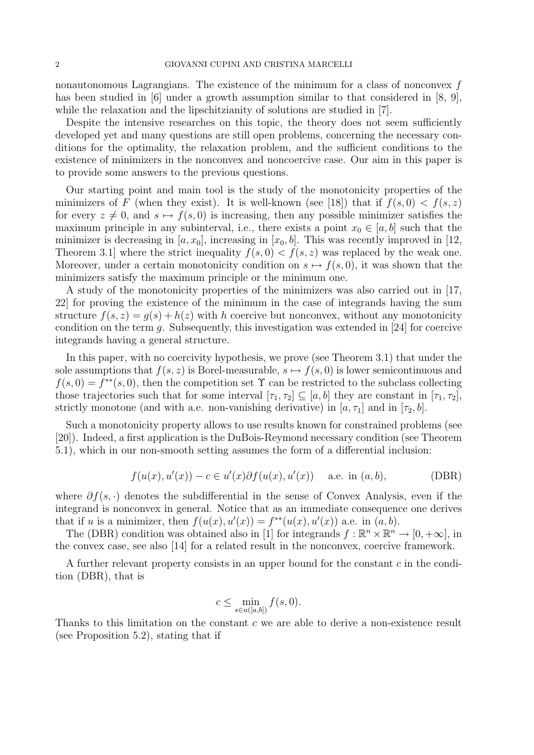nonautonomous Lagrangians. The existence of the minimum for a class of nonconvex  $f$ has been studied in [6] under a growth assumption similar to that considered in [8, 9], while the relaxation and the lipschitzianity of solutions are studied in [7].

Despite the intensive researches on this topic, the theory does not seem sufficiently developed yet and many questions are still open problems, concerning the necessary conditions for the optimality, the relaxation problem, and the sufficient conditions to the existence of minimizers in the nonconvex and noncoercive case. Our aim in this paper is to provide some answers to the previous questions.

Our starting point and main tool is the study of the monotonicity properties of the minimizers of F (when they exist). It is well-known (see [18]) that if  $f(s, 0) < f(s, z)$ for every  $z \neq 0$ , and  $s \mapsto f(s, 0)$  is increasing, then any possible minimizer satisfies the maximum principle in any subinterval, i.e., there exists a point  $x_0 \in [a, b]$  such that the minimizer is decreasing in  $[a, x_0]$ , increasing in  $[x_0, b]$ . This was recently improved in [12, Theorem 3.1 where the strict inequality  $f(s, 0) < f(s, z)$  was replaced by the weak one. Moreover, under a certain monotonicity condition on  $s \mapsto f(s, 0)$ , it was shown that the minimizers satisfy the maximum principle or the minimum one.

A study of the monotonicity properties of the minimizers was also carried out in [17, 22] for proving the existence of the minimum in the case of integrands having the sum structure  $f(s, z) = g(s) + h(z)$  with h coercive but nonconvex, without any monotonicity condition on the term g. Subsequently, this investigation was extended in [24] for coercive integrands having a general structure.

In this paper, with no coercivity hypothesis, we prove (see Theorem 3.1) that under the sole assumptions that  $f(s, z)$  is Borel-measurable,  $s \mapsto f(s, 0)$  is lower semicontinuous and  $f(s, 0) = f^{**}(s, 0)$ , then the competition set  $\Upsilon$  can be restricted to the subclass collecting those trajectories such that for some interval  $[\tau_1, \tau_2] \subseteq [a, b]$  they are constant in  $[\tau_1, \tau_2]$ , strictly monotone (and with a.e. non-vanishing derivative) in [a,  $\tau_1$ ] and in [ $\tau_2$ , b].

Such a monotonicity property allows to use results known for constrained problems (see [20]). Indeed, a first application is the DuBois-Reymond necessary condition (see Theorem 5.1), which in our non-smooth setting assumes the form of a differential inclusion:

$$
f(u(x), u'(x)) - c \in u'(x)\partial f(u(x), u'(x)) \quad \text{a.e. in } (a, b),
$$
 (DBR)

where  $\partial f(s, \cdot)$  denotes the subdifferential in the sense of Convex Analysis, even if the integrand is nonconvex in general. Notice that as an immediate consequence one derives that if u is a minimizer, then  $f(u(x), u'(x)) = f^{**}(u(x), u'(x))$  a.e. in  $(a, b)$ .

The (DBR) condition was obtained also in [1] for integrands  $f : \mathbb{R}^n \times \mathbb{R}^n \to [0, +\infty]$ , in the convex case, see also [14] for a related result in the nonconvex, coercive framework.

A further relevant property consists in an upper bound for the constant  $c$  in the condition (DBR), that is

$$
c \le \min_{s \in u([a,b])} f(s,0).
$$

Thanks to this limitation on the constant c we are able to derive a non-existence result (see Proposition 5.2), stating that if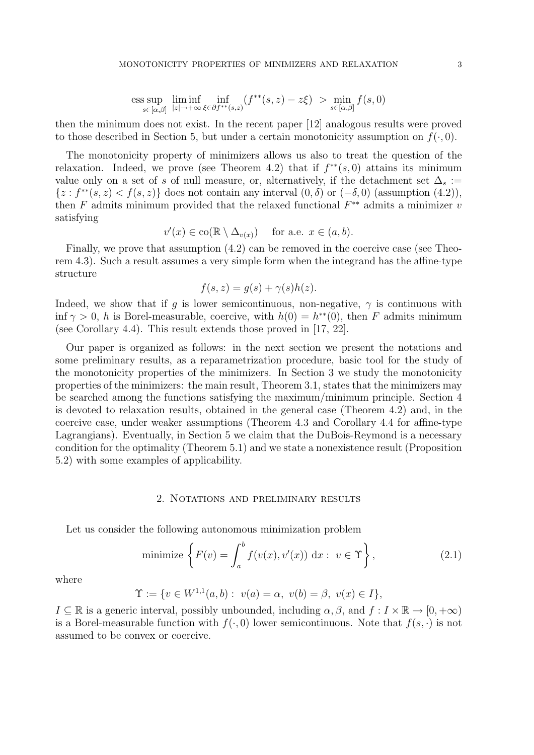$$
\text{ess}\sup_{s\in[\alpha,\beta]} \liminf_{|z|\to+\infty} \inf_{\xi\in\partial f^{**}(s,z)} (f^{**}(s,z)-z\xi) > \min_{s\in[\alpha,\beta]} f(s,0)
$$

then the minimum does not exist. In the recent paper [12] analogous results were proved to those described in Section 5, but under a certain monotonicity assumption on  $f(\cdot, 0)$ .

The monotonicity property of minimizers allows us also to treat the question of the relaxation. Indeed, we prove (see Theorem 4.2) that if  $f^{**}(s,0)$  attains its minimum value only on a set of s of null measure, or, alternatively, if the detachment set  $\Delta_s :=$  $\{z: f^{**}(s, z) < f(s, z)\}\$ does not contain any interval  $(0, \delta)$  or  $(-\delta, 0)$  (assumption  $(4.2)$ ), then  $F$  admits minimum provided that the relaxed functional  $F^{**}$  admits a minimizer  $v$ satisfying

$$
v'(x) \in \text{co}(\mathbb{R} \setminus \Delta_{v(x)}) \quad \text{ for a.e. } x \in (a, b).
$$

Finally, we prove that assumption (4.2) can be removed in the coercive case (see Theorem 4.3). Such a result assumes a very simple form when the integrand has the affine-type structure

$$
f(s, z) = g(s) + \gamma(s)h(z).
$$

Indeed, we show that if q is lower semicontinuous, non-negative,  $\gamma$  is continuous with inf  $\gamma > 0$ , h is Borel-measurable, coercive, with  $h(0) = h^{**}(0)$ , then F admits minimum (see Corollary 4.4). This result extends those proved in [17, 22].

Our paper is organized as follows: in the next section we present the notations and some preliminary results, as a reparametrization procedure, basic tool for the study of the monotonicity properties of the minimizers. In Section 3 we study the monotonicity properties of the minimizers: the main result, Theorem 3.1, states that the minimizers may be searched among the functions satisfying the maximum/minimum principle. Section 4 is devoted to relaxation results, obtained in the general case (Theorem 4.2) and, in the coercive case, under weaker assumptions (Theorem 4.3 and Corollary 4.4 for affine-type Lagrangians). Eventually, in Section 5 we claim that the DuBois-Reymond is a necessary condition for the optimality (Theorem 5.1) and we state a nonexistence result (Proposition 5.2) with some examples of applicability.

# 2. Notations and preliminary results

Let us consider the following autonomous minimization problem

minimize 
$$
\left\{ F(v) = \int_{a}^{b} f(v(x), v'(x)) dx : v \in \Upsilon \right\},
$$
 (2.1)

where

$$
\Upsilon := \{ v \in W^{1,1}(a,b) : \ v(a) = \alpha, \ v(b) = \beta, \ v(x) \in I \},
$$

 $I \subseteq \mathbb{R}$  is a generic interval, possibly unbounded, including  $\alpha, \beta$ , and  $f : I \times \mathbb{R} \to [0, +\infty)$ is a Borel-measurable function with  $f(\cdot, 0)$  lower semicontinuous. Note that  $f(s, \cdot)$  is not assumed to be convex or coercive.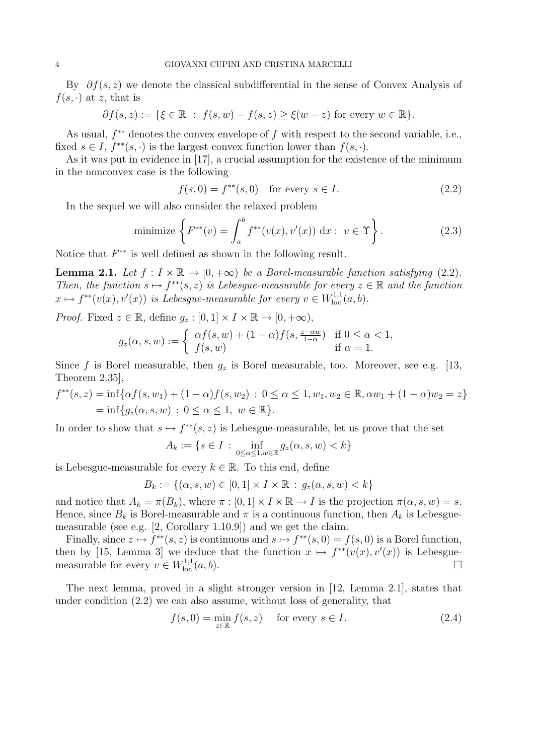By  $\partial f(s, z)$  we denote the classical subdifferential in the sense of Convex Analysis of  $f(s, \cdot)$  at z, that is

$$
\partial f(s,z):=\{\xi\in\mathbb{R}\,\,:\,\,f(s,w)-f(s,z)\geq\xi(w-z)\text{ for every }w\in\mathbb{R}\}.
$$

As usual,  $f^{**}$  denotes the convex envelope of f with respect to the second variable, i.e., fixed  $s \in I$ ,  $f^{**}(s, \cdot)$  is the largest convex function lower than  $f(s, \cdot)$ .

As it was put in evidence in [17], a crucial assumption for the existence of the minimum in the nonconvex case is the following

$$
f(s,0) = f^{**}(s,0) \text{ for every } s \in I.
$$
 (2.2)

In the sequel we will also consider the relaxed problem

minimize 
$$
\left\{ F^{**}(v) = \int_a^b f^{**}(v(x), v'(x)) dx : v \in \Upsilon \right\}.
$$
 (2.3)

Notice that  $F^{**}$  is well defined as shown in the following result.

**Lemma 2.1.** Let  $f: I \times \mathbb{R} \to [0, +\infty)$  be a Borel-measurable function satisfying (2.2). Then, the function  $s \mapsto f^{**}(s, z)$  is Lebesgue-measurable for every  $z \in \mathbb{R}$  and the function  $x \mapsto f^{**}(v(x), v'(x))$  is Lebesgue-measurable for every  $v \in W^{1,1}_{loc}(a, b)$ .

*Proof.* Fixed  $z \in \mathbb{R}$ , define  $g_z : [0, 1] \times I \times \mathbb{R} \to [0, +\infty)$ ,

$$
g_z(\alpha, s, w) := \begin{cases} \alpha f(s, w) + (1 - \alpha)f(s, \frac{z - \alpha w}{1 - \alpha}) & \text{if } 0 \le \alpha < 1, \\ f(s, w) & \text{if } \alpha = 1. \end{cases}
$$

Since f is Borel measurable, then  $g_z$  is Borel measurable, too. Moreover, see e.g. [13, Theorem 2.35],

$$
f^{**}(s, z) = \inf \{ \alpha f(s, w_1) + (1 - \alpha)f(s, w_2) : 0 \le \alpha \le 1, w_1, w_2 \in \mathbb{R}, \alpha w_1 + (1 - \alpha)w_2 = z \}
$$
  
=  $\inf \{ g_z(\alpha, s, w) : 0 \le \alpha \le 1, w \in \mathbb{R} \}.$ 

In order to show that  $s \mapsto f^{**}(s, z)$  is Lebesgue-measurable, let us prove that the set

$$
A_k := \{ s \in I : \inf_{0 \le \alpha \le 1, w \in \mathbb{R}} g_z(\alpha, s, w) < k \}
$$

is Lebesgue-measurable for every  $k \in \mathbb{R}$ . To this end, define

$$
B_k := \{ (\alpha, s, w) \in [0, 1] \times I \times \mathbb{R} : g_z(\alpha, s, w) < k \}
$$

and notice that  $A_k = \pi(B_k)$ , where  $\pi : [0,1] \times I \times \mathbb{R} \to I$  is the projection  $\pi(\alpha, s, w) = s$ . Hence, since  $B_k$  is Borel-measurable and  $\pi$  is a continuous function, then  $A_k$  is Lebesguemeasurable (see e.g. [2, Corollary 1.10.9]) and we get the claim.

Finally, since  $z \mapsto f^{**}(s, z)$  is continuous and  $s \mapsto f^{**}(s, 0) = f(s, 0)$  is a Borel function, then by [15, Lemma 3] we deduce that the function  $x \mapsto f^{**}(v(x), v'(x))$  is Lebesguemeasurable for every  $v \in W^{1,1}_{loc}(a, b)$ .

The next lemma, proved in a slight stronger version in [12, Lemma 2.1], states that under condition (2.2) we can also assume, without loss of generality, that

$$
f(s,0) = \min_{z \in \mathbb{R}} f(s,z) \quad \text{for every } s \in I.
$$
 (2.4)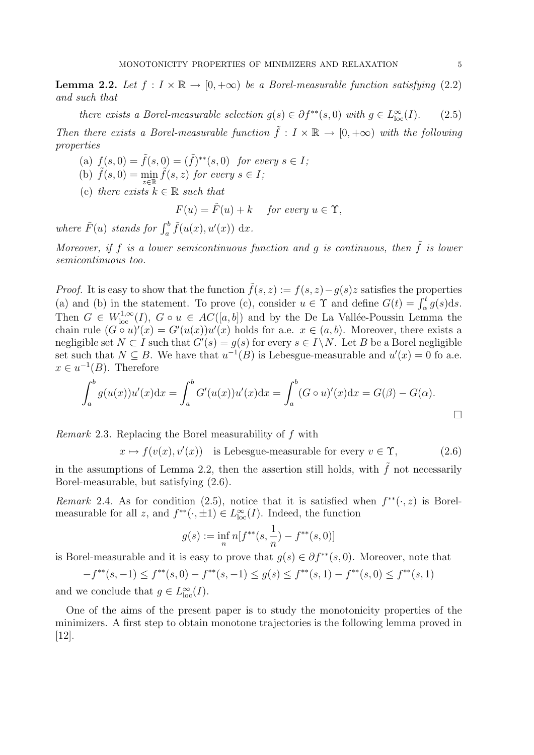**Lemma 2.2.** Let  $f: I \times \mathbb{R} \to [0, +\infty)$  be a Borel-measurable function satisfying (2.2) and such that

there exists a Borel-measurable selection  $g(s) \in \partial f^{**}(s,0)$  with  $g \in L^{\infty}_{loc}(I)$ . (2.5)

Then there exists a Borel-measurable function  $\tilde{f}: I \times \mathbb{R} \to [0, +\infty)$  with the following properties

- (a)  $f(s, 0) = \tilde{f}(s, 0) = (\tilde{f})^{**}(s, 0)$  for every  $s \in I$ ;
- (b)  $\tilde{f}(s,0) = \min_{z \in \mathbb{R}} \tilde{f}(s,z)$  for every  $s \in I$ ;
- (c) there exists  $k \in \mathbb{R}$  such that

 $F(u) = \tilde{F}(u) + k$  for every  $u \in \Upsilon$ ,

where  $\tilde{F}(u)$  stands for  $\int_a^b \tilde{f}(u(x), u'(x)) dx$ .

Moreover, if f is a lower semicontinuous function and g is continuous, then  $\tilde{f}$  is lower semicontinuous too.

*Proof.* It is easy to show that the function  $\tilde{f}(s, z) := f(s, z) - g(s)z$  satisfies the properties (a) and (b) in the statement. To prove (c), consider  $u \in \Upsilon$  and define  $G(t) = \int_{\alpha}^{t} g(s) ds$ . Then  $G \in W^{1,\infty}_{loc}(I)$ ,  $G \circ u \in AC([a, b])$  and by the De La Vallée-Poussin Lemma the chain rule  $(G \circ u)'(x) = G'(u(x))u'(x)$  holds for a.e.  $x \in (a, b)$ . Moreover, there exists a negligible set  $N \subset I$  such that  $G'(s) = g(s)$  for every  $s \in I \setminus N$ . Let B be a Borel negligible set such that  $N \subseteq B$ . We have that  $u^{-1}(B)$  is Lebesgue-measurable and  $u'(x) = 0$  fo a.e.  $x \in u^{-1}(B)$ . Therefore

$$
\int_{a}^{b} g(u(x))u'(x)dx = \int_{a}^{b} G'(u(x))u'(x)dx = \int_{a}^{b} (G \circ u)'(x)dx = G(\beta) - G(\alpha).
$$

Remark 2.3. Replacing the Borel measurability of f with

 $x \mapsto f(v(x), v'(x))$  is Lebesgue-measurable for every  $v \in \Upsilon$ , (2.6)

in the assumptions of Lemma 2.2, then the assertion still holds, with  $\tilde{f}$  not necessarily Borel-measurable, but satisfying (2.6).

Remark 2.4. As for condition (2.5), notice that it is satisfied when  $f^{**}(\cdot, z)$  is Borelmeasurable for all z, and  $f^{**}(\cdot, \pm 1) \in L^{\infty}_{loc}(I)$ . Indeed, the function

$$
g(s) := \inf_n n[f^{**}(s, \frac{1}{n}) - f^{**}(s, 0)]
$$

is Borel-measurable and it is easy to prove that  $g(s) \in \partial f^{**}(s,0)$ . Moreover, note that

 $-f^{**}(s, -1) \leq f^{**}(s, 0) - f^{**}(s, -1) \leq g(s) \leq f^{**}(s, 1) - f^{**}(s, 0) \leq f^{**}(s, 1)$ 

and we conclude that  $g \in L^{\infty}_{loc}(I)$ .

One of the aims of the present paper is to study the monotonicity properties of the minimizers. A first step to obtain monotone trajectories is the following lemma proved in [12].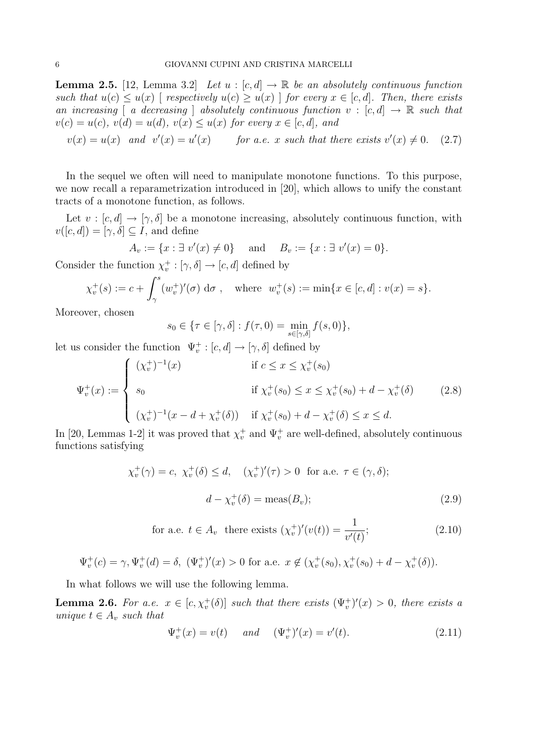**Lemma 2.5.** [12, Lemma 3.2] Let  $u : [c, d] \to \mathbb{R}$  be an absolutely continuous function such that  $u(c) \leq u(x)$  [ respectively  $u(c) \geq u(x)$  ] for every  $x \in [c, d]$ . Then, there exists an increasing [ a decreasing ] absolutely continuous function  $v : [c, d] \to \mathbb{R}$  such that  $v(c) = u(c), v(d) = u(d), v(x) \le u(x)$  for every  $x \in [c, d]$ , and

$$
v(x) = u(x)
$$
 and  $v'(x) = u'(x)$  for a.e. x such that there exists  $v'(x) \neq 0$ . (2.7)

In the sequel we often will need to manipulate monotone functions. To this purpose, we now recall a reparametrization introduced in [20], which allows to unify the constant tracts of a monotone function, as follows.

Let  $v : [c, d] \rightarrow [\gamma, \delta]$  be a monotone increasing, absolutely continuous function, with  $v([c, d]) = [\gamma, \delta] \subseteq I$ , and define

$$
A_v := \{x : \exists v'(x) \neq 0\}
$$
 and  $B_v := \{x : \exists v'(x) = 0\}.$ 

Consider the function  $\chi_v^+ : [\gamma, \delta] \to [c, d]$  defined by

$$
\chi_v^+(s) := c + \int_{\gamma}^s (w_v^+)'(\sigma) \, \mathrm{d}\sigma \, , \quad \text{where} \, w_v^+(s) := \min\{x \in [c, d] : v(x) = s\}.
$$

Moreover, chosen

$$
s_0 \in \{\tau \in [\gamma, \delta] : f(\tau, 0) = \min_{s \in [\gamma, \delta]} f(s, 0)\},\
$$

let us consider the function  $\Psi_v^+ : [c, d] \to [\gamma, \delta]$  defined by

$$
\Psi_v^+(x) := \begin{cases}\n(\chi_v^+)^{-1}(x) & \text{if } c \le x \le \chi_v^+(s_0) \\
s_0 & \text{if } \chi_v^+(s_0) \le x \le \chi_v^+(s_0) + d - \chi_v^+(\delta) \\
(\chi_v^+)^{-1}(x - d + \chi_v^+(\delta)) & \text{if } \chi_v^+(s_0) + d - \chi_v^+(\delta) \le x \le d.\n\end{cases}
$$
\n(2.8)

In [20, Lemmas 1-2] it was proved that  $\chi_v^+$  and  $\Psi_v^+$  are well-defined, absolutely continuous functions satisfying

$$
\chi_v^+(\gamma) = c, \ \chi_v^+(\delta) \le d, \quad (\chi_v^+)'(\tau) > 0 \text{ for a.e. } \tau \in (\gamma, \delta);
$$

$$
d - \chi_v^+(\delta) = \text{meas}(B_v); \tag{2.9}
$$

for a.e. 
$$
t \in A_v
$$
 there exists  $(\chi_v^+)'(v(t)) = \frac{1}{v'(t)};$  (2.10)

$$
\Psi_v^+(c) = \gamma, \Psi_v^+(d) = \delta, \ (\Psi_v^+)'(x) > 0 \text{ for a.e. } x \notin (\chi_v^+(s_0), \chi_v^+(s_0) + d - \chi_v^+(\delta)).
$$

In what follows we will use the following lemma.

**Lemma 2.6.** For a.e.  $x \in [c, \chi_v^+(\delta)]$  such that there exists  $(\Psi_v^+)'(x) > 0$ , there exists a unique  $t \in A_v$  such that

$$
\Psi_v^+(x) = v(t) \quad \text{and} \quad (\Psi_v^+)'(x) = v'(t). \tag{2.11}
$$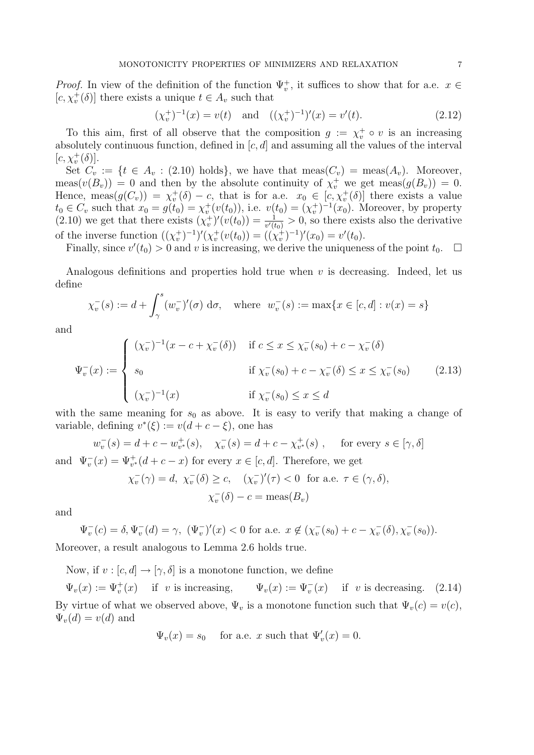*Proof.* In view of the definition of the function  $\Psi_v^+$ , it suffices to show that for a.e.  $x \in$  $[c, \chi_v^+(\delta)]$  there exists a unique  $t \in A_v$  such that

$$
(\chi_v^+)^{-1}(x) = v(t) \quad \text{and} \quad ((\chi_v^+)^{-1})'(x) = v'(t). \tag{2.12}
$$

To this aim, first of all observe that the composition  $g := \chi_v^+ \circ v$  is an increasing absolutely continuous function, defined in  $[c, d]$  and assuming all the values of the interval  $[c, \chi_v^+(\delta)].$ 

Set  $C_v := \{t \in A_v : (2.10) \text{ holds}\},\$  we have that  $meas(C_v) = meas(A_v).$  Moreover, meas $(v(B_v)) = 0$  and then by the absolute continuity of  $\chi_v^+$  we get meas $(g(B_v)) = 0$ . Hence, meas $(g(C_v)) = \chi_v^+(\delta) - c$ , that is for a.e.  $x_0 \in [c, \chi_v^+(\delta)]$  there exists a value  $t_0 \in C_v$  such that  $x_0 = g(t_0) = \chi_v^+(v(t_0))$ , i.e.  $v(t_0) = (\chi_v^+)^{-1}(x_0)$ . Moreover, by property  $(2.10)$  we get that there exists  $(\chi_v^+)'(v(t_0)) = \frac{1}{v'(t_0)} > 0$ , so there exists also the derivative of the inverse function  $((\chi_v^+)^{-1})'(\chi_v^+(v(t_0)) = ((\chi_v^+)^{-1})'(x_0) = v'(t_0)$ .

Finally, since  $v'(t_0) > 0$  and v is increasing, we derive the uniqueness of the point  $t_0$ .  $\Box$ 

Analogous definitions and properties hold true when  $v$  is decreasing. Indeed, let us define

$$
\chi_v^-(s) := d + \int_{\gamma}^s (w_v^-)'(\sigma) \, d\sigma, \quad \text{where} \quad w_v^-(s) := \max\{x \in [c, d] : v(x) = s\}
$$

and

$$
\Psi_v^-(x) := \begin{cases}\n(\chi_v^-)^{-1}(x - c + \chi_v^-(\delta)) & \text{if } c \le x \le \chi_v^-(s_0) + c - \chi_v^-(\delta) \\
s_0 & \text{if } \chi_v^-(s_0) + c - \chi_v^-(\delta) \le x \le \chi_v^-(s_0) \\
(\chi_v^-)^{-1}(x) & \text{if } \chi_v^-(s_0) \le x \le d\n\end{cases}
$$
\n(2.13)

with the same meaning for  $s_0$  as above. It is easy to verify that making a change of variable, defining  $v^*(\xi) := v(d + c - \xi)$ , one has

$$
w_v^-(s) = d + c - w_{v^*}^+(s), \quad \chi_v^-(s) = d + c - \chi_{v^*}^+(s) , \quad \text{ for every } s \in [\gamma, \delta]
$$
  
and 
$$
\Psi_v^-(x) = \Psi_{v^*}^+(d + c - x)
$$
 for every  $x \in [c, d]$ . Therefore, we get

$$
\chi_v^-(\gamma) = d, \ \chi_v^-(\delta) \ge c, \quad (\chi_v^-)'(\tau) < 0 \ \text{ for a.e. } \tau \in (\gamma, \delta),
$$

$$
\chi_v^-(\delta) - c = \text{meas}(B_v)
$$

and

$$
\Psi_v^-(c) = \delta, \Psi_v^-(d) = \gamma, \ (\Psi_v^{\dagger})'(x) < 0 \text{ for a.e. } x \notin (\chi_v^-(s_0) + c - \chi_v^-(\delta), \chi_v^-(s_0)).
$$

Moreover, a result analogous to Lemma 2.6 holds true.

Now, if  $v : [c, d] \rightarrow [\gamma, \delta]$  is a monotone function, we define

 $\Psi_v(x) := \Psi_v^+(x)$  if v is increasing,  $\Psi_v(x) := \Psi_v^-(x)$  $\bar{v}(x)$  if v is decreasing. (2.14) By virtue of what we observed above,  $\Psi_v$  is a monotone function such that  $\Psi_v(c) = v(c)$ ,  $\Psi_v(d) = v(d)$  and

$$
\Psi_v(x) = s_0
$$
 for a.e. x such that  $\Psi'_v(x) = 0$ .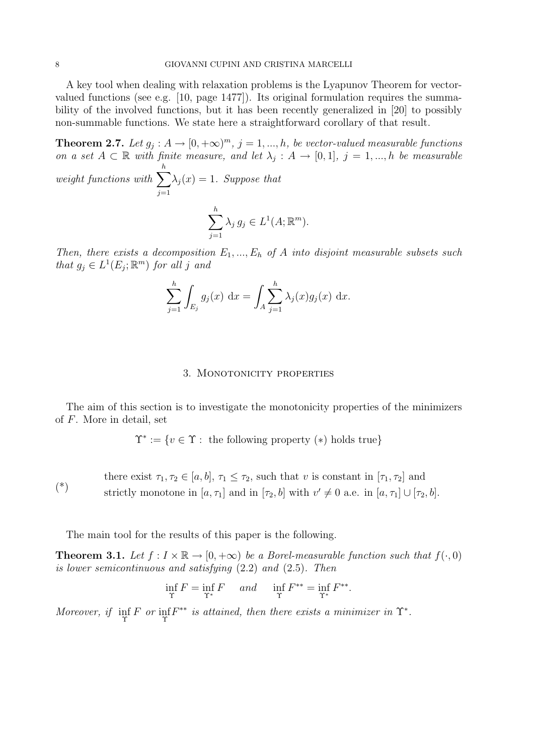A key tool when dealing with relaxation problems is the Lyapunov Theorem for vectorvalued functions (see e.g. [10, page 1477]). Its original formulation requires the summability of the involved functions, but it has been recently generalized in [20] to possibly non-summable functions. We state here a straightforward corollary of that result.

**Theorem 2.7.** Let  $g_j: A \to [0, +\infty)^m$ ,  $j = 1, ..., h$ , be vector-valued measurable functions on a set  $A \subset \mathbb{R}$  with finite measure, and let  $\lambda_j : A \to [0,1], j = 1,...,h$  be measurable h

weight functions with  $\sum$  $j=1$  $\lambda_j(x) = 1$ . Suppose that  $\sum$ h  $j=1$  $\lambda_j g_j \in L^1(A; \mathbb{R}^m).$ 

Then, there exists a decomposition  $E_1, ..., E_h$  of A into disjoint measurable subsets such that  $g_j \in L^1(E_j; \mathbb{R}^m)$  for all j and

$$
\sum_{j=1}^{h} \int_{E_j} g_j(x) \, dx = \int_A \sum_{j=1}^{h} \lambda_j(x) g_j(x) \, dx.
$$

#### 3. MONOTONICITY PROPERTIES

The aim of this section is to investigate the monotonicity properties of the minimizers of F. More in detail, set

$$
\Upsilon^* := \{ v \in \Upsilon : \text{ the following property } (*) \text{ holds true} \}
$$

(\*) there exist  $\tau_1, \tau_2 \in [a, b], \tau_1 \leq \tau_2$ , such that v is constant in  $[\tau_1, \tau_2]$  and strictly monotone in  $[a, \tau_1]$  and in  $[\tau_2, b]$  with  $v' \neq 0$  a.e. in  $[a, \tau_1] \cup [\tau_2, b]$ .

The main tool for the results of this paper is the following.

**Theorem 3.1.** Let  $f: I \times \mathbb{R} \to [0, +\infty)$  be a Borel-measurable function such that  $f(\cdot, 0)$ is lower semicontinuous and satisfying (2.2) and (2.5). Then

$$
\inf_{\Upsilon} F = \inf_{\Upsilon^*} F \quad \text{and} \quad \inf_{\Upsilon} F^{**} = \inf_{\Upsilon^*} F^{**}.
$$

Moreover, if  $\inf_{\Upsilon} F$  or  $\inf_{\Upsilon} F^{**}$  is attained, then there exists a minimizer in  $\Upsilon^*$ .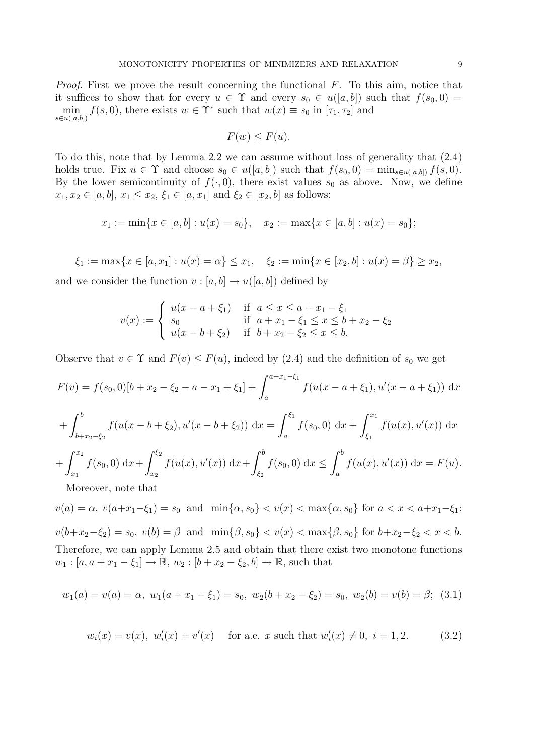Proof. First we prove the result concerning the functional F. To this aim, notice that it suffices to show that for every  $u \in \Upsilon$  and every  $s_0 \in u([a, b])$  such that  $f(s_0, 0) =$  $\min_{s \in u([a,b])} f(s,0)$ , there exists  $w \in \Upsilon^*$  such that  $w(x) \equiv s_0$  in  $[\tau_1, \tau_2]$  and

$$
F(w) \le F(u).
$$

To do this, note that by Lemma 2.2 we can assume without loss of generality that (2.4) holds true. Fix  $u \in \Upsilon$  and choose  $s_0 \in u([a, b])$  such that  $f(s_0, 0) = \min_{s \in u([a, b])} f(s, 0)$ . By the lower semicontinuity of  $f(\cdot, 0)$ , there exist values  $s_0$  as above. Now, we define  $x_1, x_2 \in [a, b], x_1 \leq x_2, \xi_1 \in [a, x_1] \text{ and } \xi_2 \in [x_2, b] \text{ as follows:}$ 

$$
x_1 := \min\{x \in [a, b] : u(x) = s_0\}, \quad x_2 := \max\{x \in [a, b] : u(x) = s_0\};
$$

$$
\xi_1 := \max\{x \in [a, x_1] : u(x) = \alpha\} \le x_1, \quad \xi_2 := \min\{x \in [x_2, b] : u(x) = \beta\} \ge x_2,
$$

and we consider the function  $v : [a, b] \to u([a, b])$  defined by

$$
v(x) := \begin{cases} u(x - a + \xi_1) & \text{if } a \le x \le a + x_1 - \xi_1 \\ s_0 & \text{if } a + x_1 - \xi_1 \le x \le b + x_2 - \xi_2 \\ u(x - b + \xi_2) & \text{if } b + x_2 - \xi_2 \le x \le b. \end{cases}
$$

Observe that  $v \in \Upsilon$  and  $F(v) \leq F(u)$ , indeed by (2.4) and the definition of  $s_0$  we get

$$
F(v) = f(s_0, 0)[b + x_2 - \xi_2 - a - x_1 + \xi_1] + \int_a^{a + x_1 - \xi_1} f(u(x - a + \xi_1), u'(x - a + \xi_1)) dx
$$
  
+ 
$$
\int_{b + x_2 - \xi_2}^b f(u(x - b + \xi_2), u'(x - b + \xi_2)) dx = \int_a^{\xi_1} f(s_0, 0) dx + \int_{\xi_1}^{x_1} f(u(x), u'(x)) dx
$$
  
+ 
$$
\int_{x_1}^{x_2} f(s_0, 0) dx + \int_{x_2}^{\xi_2} f(u(x), u'(x)) dx + \int_{\xi_2}^b f(s_0, 0) dx \le \int_a^b f(u(x), u'(x)) dx = F(u).
$$

Moreover, note that

 $v(a) = \alpha, v(a+x_1-\xi_1) = s_0$  and  $\min{\{\alpha, s_0\}} < v(x) < \max{\{\alpha, s_0\}}$  for  $a < x < a+x_1-\xi_1$ ;  $v(b+x_2-\xi_2)=s_0, v(b)=\beta \text{ and } \min\{\beta, s_0\} < v(x) < \max\{\beta, s_0\} \text{ for } b+x_2-\xi_2 < x < b.$ Therefore, we can apply Lemma 2.5 and obtain that there exist two monotone functions  $w_1 : [a, a + x_1 - \xi_1] \to \mathbb{R}, w_2 : [b + x_2 - \xi_2, b] \to \mathbb{R}, \text{ such that }$ 

$$
w_1(a) = v(a) = \alpha, w_1(a + x_1 - \xi_1) = s_0, w_2(b + x_2 - \xi_2) = s_0, w_2(b) = v(b) = \beta;
$$
 (3.1)

$$
w_i(x) = v(x), w'_i(x) = v'(x)
$$
 for a.e. x such that  $w'_i(x) \neq 0, i = 1, 2.$  (3.2)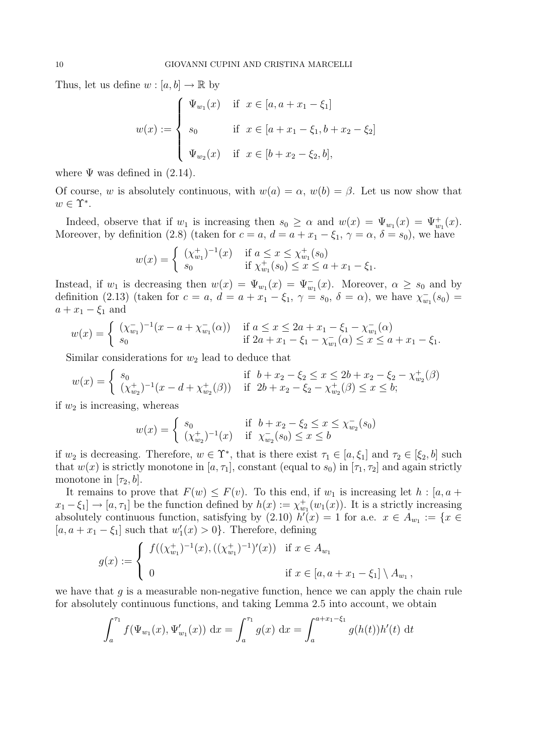Thus, let us define  $w : [a, b] \to \mathbb{R}$  by

$$
w(x) := \begin{cases} \Psi_{w_1}(x) & \text{if } x \in [a, a + x_1 - \xi_1] \\ s_0 & \text{if } x \in [a + x_1 - \xi_1, b + x_2 - \xi_2] \\ \Psi_{w_2}(x) & \text{if } x \in [b + x_2 - \xi_2, b], \end{cases}
$$

where  $\Psi$  was defined in  $(2.14)$ .

Of course, w is absolutely continuous, with  $w(a) = \alpha$ ,  $w(b) = \beta$ . Let us now show that  $w \in \Upsilon^*$ .

Indeed, observe that if  $w_1$  is increasing then  $s_0 \geq \alpha$  and  $w(x) = \Psi_{w_1}(x) = \Psi_{w_1}^+(x)$ . Moreover, by definition (2.8) (taken for  $c = a$ ,  $d = a + x_1 - \xi_1$ ,  $\gamma = \alpha$ ,  $\delta = s_0$ ), we have

$$
w(x) = \begin{cases} (\chi_{w_1}^+)^{-1}(x) & \text{if } a \le x \le \chi_{w_1}^+(s_0) \\ s_0 & \text{if } \chi_{w_1}^+(s_0) \le x \le a + x_1 - \xi_1. \end{cases}
$$

Instead, if  $w_1$  is decreasing then  $w(x) = \Psi_{w_1}(x) = \Psi_{w_1}^-(x)$ . Moreover,  $\alpha \geq s_0$  and by definition (2.13) (taken for  $c = a$ ,  $d = a + x_1 - \xi_1$ ,  $\gamma = s_0$ ,  $\delta = \alpha$ ), we have  $\chi_{w_1}^-(s_0) =$  $a + x_1 - \xi_1$  and

$$
w(x) = \begin{cases} (\chi_{w_1}^-)^{-1}(x - a + \chi_{w_1}^-(\alpha)) & \text{if } a \le x \le 2a + x_1 - \xi_1 - \chi_{w_1}^-(\alpha) \\ s_0 & \text{if } 2a + x_1 - \xi_1 - \chi_{w_1}^-(\alpha) \le x \le a + x_1 - \xi_1. \end{cases}
$$

Similar considerations for  $w_2$  lead to deduce that

$$
w(x) = \begin{cases} s_0 & \text{if } b + x_2 - \xi_2 \le x \le 2b + x_2 - \xi_2 - \chi_{w_2}^+(\beta) \\ (\chi_{w_2}^+)^{-1}(x - d + \chi_{w_2}^+(\beta)) & \text{if } 2b + x_2 - \xi_2 - \chi_{w_2}^+(\beta) \le x \le b; \end{cases}
$$

if  $w_2$  is increasing, whereas

$$
w(x) = \begin{cases} s_0 & \text{if } b + x_2 - \xi_2 \le x \le \chi_{w_2}^-(s_0) \\ (\chi_{w_2}^+)^{-1}(x) & \text{if } \chi_{w_2}^-(s_0) \le x \le b \end{cases}
$$

if  $w_2$  is decreasing. Therefore,  $w \in \Upsilon^*$ , that is there exist  $\tau_1 \in [a, \xi_1]$  and  $\tau_2 \in [\xi_2, b]$  such that  $w(x)$  is strictly monotone in [a,  $\tau_1$ ], constant (equal to  $s_0$ ) in [ $\tau_1$ ,  $\tau_2$ ] and again strictly monotone in  $[\tau_2, b]$ .

It remains to prove that  $F(w) \leq F(v)$ . To this end, if  $w_1$  is increasing let  $h : [a, a +$  $x_1 - \xi_1$   $\to$   $[a, \tau_1]$  be the function defined by  $h(x) := \chi_{w_1}^+(w_1(x))$ . It is a strictly increasing absolutely continuous function, satisfying by (2.10)  $h'(x) = 1$  for a.e.  $x \in A_{w_1} := \{x \in A_{w_1}\}$  $[a, a + x_1 - \xi_1]$  such that  $w'_1(x) > 0$ . Therefore, defining

$$
g(x) := \begin{cases} f((\chi_{w_1}^+)^{-1}(x), ((\chi_{w_1}^+)^{-1})'(x)) & \text{if } x \in A_{w_1} \\ 0 & \text{if } x \in [a, a + x_1 - \xi_1] \setminus A_{w_1}, \end{cases}
$$

we have that  $q$  is a measurable non-negative function, hence we can apply the chain rule for absolutely continuous functions, and taking Lemma 2.5 into account, we obtain

$$
\int_{a}^{\tau_1} f(\Psi_{w_1}(x), \Psi'_{w_1}(x)) dx = \int_{a}^{\tau_1} g(x) dx = \int_{a}^{a+x_1-\xi_1} g(h(t))h'(t) dt
$$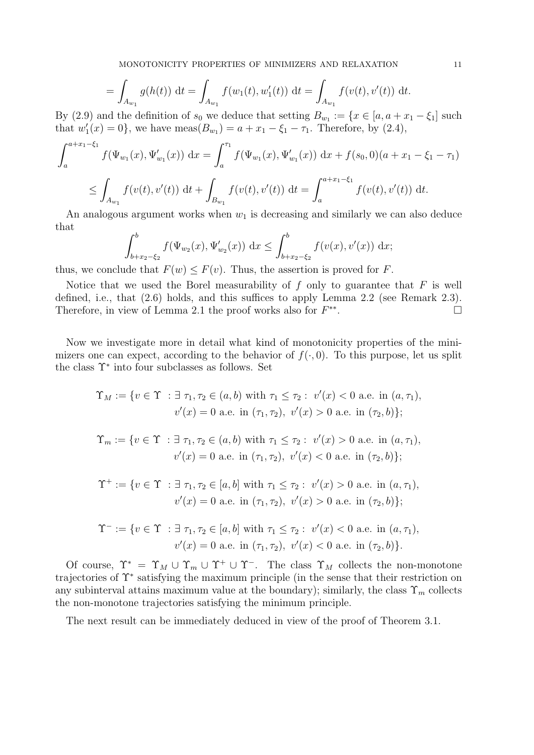MONOTONICITY PROPERTIES OF MINIMIZERS AND RELAXATION 11

$$
= \int_{A_{w_1}} g(h(t)) dt = \int_{A_{w_1}} f(w_1(t), w_1'(t)) dt = \int_{A_{w_1}} f(v(t), v'(t)) dt.
$$

By (2.9) and the definition of  $s_0$  we deduce that setting  $B_{w_1} := \{x \in [a, a + x_1 - \xi_1] \text{ such that }$ that  $w'_1(x) = 0$ , we have  $meas(B_{w_1}) = a + x_1 - \xi_1 - \tau_1$ . Therefore, by (2.4),

$$
\int_{a}^{a+x_1-\xi_1} f(\Psi_{w_1}(x), \Psi'_{w_1}(x)) dx = \int_{a}^{\tau_1} f(\Psi_{w_1}(x), \Psi'_{w_1}(x)) dx + f(s_0, 0)(a + x_1 - \xi_1 - \tau_1)
$$
  
\n
$$
\leq \int_{A_{w_1}} f(v(t), v'(t)) dt + \int_{B_{w_1}} f(v(t), v'(t)) dt = \int_{a}^{a+x_1-\xi_1} f(v(t), v'(t)) dt.
$$

An analogous argument works when  $w_1$  is decreasing and similarly we can also deduce that

$$
\int_{b+x_2-\xi_2}^{b} f(\Psi_{w_2}(x), \Psi'_{w_2}(x)) dx \le \int_{b+x_2-\xi_2}^{b} f(v(x), v'(x)) dx;
$$

thus, we conclude that  $F(w) \leq F(v)$ . Thus, the assertion is proved for F.

Notice that we used the Borel measurability of  $f$  only to guarantee that  $F$  is well defined, i.e., that (2.6) holds, and this suffices to apply Lemma 2.2 (see Remark 2.3). Therefore, in view of Lemma 2.1 the proof works also for  $F^{**}$ .

Now we investigate more in detail what kind of monotonicity properties of the minimizers one can expect, according to the behavior of  $f(\cdot, 0)$ . To this purpose, let us split the class Υ<sup>∗</sup> into four subclasses as follows. Set

$$
\Upsilon_M := \{ v \in \Upsilon \; : \exists \; \tau_1, \tau_2 \in (a, b) \text{ with } \tau_1 \le \tau_2 : \; v'(x) < 0 \text{ a.e. in } (a, \tau_1),
$$
\n
$$
v'(x) = 0 \text{ a.e. in } (\tau_1, \tau_2), \; v'(x) > 0 \text{ a.e. in } (\tau_2, b) \};
$$

$$
\Upsilon_m := \{ v \in \Upsilon \; : \exists \; \tau_1, \tau_2 \in (a, b) \text{ with } \tau_1 \le \tau_2 : \; v'(x) > 0 \text{ a.e. in } (a, \tau_1), v'(x) = 0 \text{ a.e. in } (\tau_1, \tau_2), \; v'(x) < 0 \text{ a.e. in } (\tau_2, b) \};
$$

$$
\Upsilon^+ := \{ v \in \Upsilon \; : \exists \; \tau_1, \tau_2 \in [a, b] \text{ with } \tau_1 \le \tau_2 : \; v'(x) > 0 \text{ a.e. in } (a, \tau_1), v'(x) = 0 \text{ a.e. in } (\tau_1, \tau_2), \; v'(x) > 0 \text{ a.e. in } (\tau_2, b) \};
$$

$$
\Upsilon^- := \{ v \in \Upsilon \; : \exists \; \tau_1, \tau_2 \in [a, b] \text{ with } \tau_1 \le \tau_2 : \; v'(x) < 0 \text{ a.e. in } (a, \tau_1),
$$
\n
$$
v'(x) = 0 \text{ a.e. in } (\tau_1, \tau_2), \; v'(x) < 0 \text{ a.e. in } (\tau_2, b) \}.
$$

Of course,  $\Upsilon^* = \Upsilon_M \cup \Upsilon_m \cup \Upsilon^+ \cup \Upsilon^-$ . The class  $\Upsilon_M$  collects the non-monotone trajectories of Υ<sup>∗</sup> satisfying the maximum principle (in the sense that their restriction on any subinterval attains maximum value at the boundary); similarly, the class  $\Upsilon_m$  collects the non-monotone trajectories satisfying the minimum principle.

The next result can be immediately deduced in view of the proof of Theorem 3.1.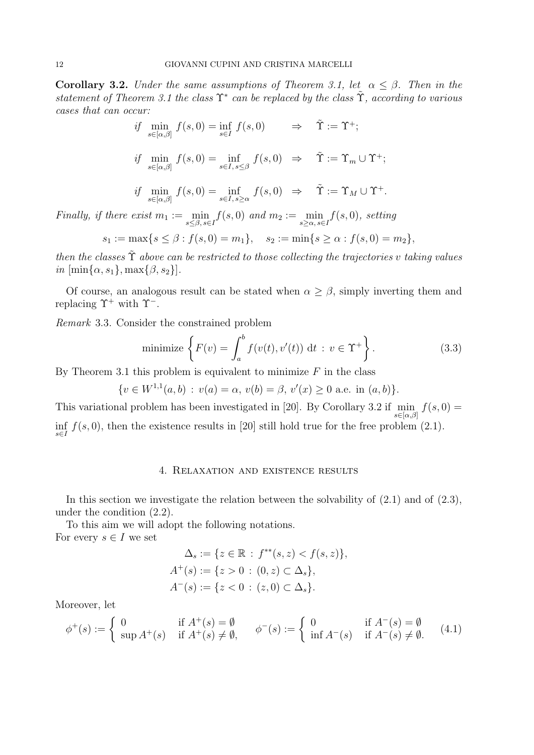**Corollary 3.2.** Under the same assumptions of Theorem 3.1, let  $\alpha \leq \beta$ . Then in the statement of Theorem 3.1 the class  $\Upsilon^*$  can be replaced by the class  $\tilde{\Upsilon}$ , according to various cases that can occur:

$$
\begin{aligned}\n\text{if } \min_{s \in [\alpha, \beta]} f(s, 0) &= \inf_{s \in I} f(s, 0) & \Rightarrow & \tilde{\Upsilon} &= \Upsilon^+; \\
\text{if } \min_{s \in [\alpha, \beta]} f(s, 0) &= \inf_{s \in I, s \le \beta} f(s, 0) & \Rightarrow & \tilde{\Upsilon} &= \Upsilon_m \cup \Upsilon^+; \\
\text{if } \min_{s \in [\alpha, \beta]} f(s, 0) &= \inf_{s \in I, s \ge \alpha} f(s, 0) & \Rightarrow & \tilde{\Upsilon} &= \Upsilon_M \cup \Upsilon^+.\n\end{aligned}
$$

Finally, if there exist  $m_1 := \min_{s \leq \beta, s \in I} f(s, 0)$  and  $m_2 := \min_{s \geq \alpha, s \in I} f(s, 0)$ , setting

$$
s_1 := \max\{s \leq \beta : f(s, 0) = m_1\}, \quad s_2 := \min\{s \geq \alpha : f(s, 0) = m_2\},\
$$

then the classes  $\tilde{\Upsilon}$  above can be restricted to those collecting the trajectories v taking values in  $[\min\{\alpha, s_1\}, \max\{\beta, s_2\}].$ 

Of course, an analogous result can be stated when  $\alpha \geq \beta$ , simply inverting them and replacing  $\Upsilon^+$  with  $\Upsilon^-$ .

Remark 3.3. Consider the constrained problem

minimize 
$$
\left\{ F(v) = \int_{a}^{b} f(v(t), v'(t)) dt : v \in \Upsilon^{+} \right\}.
$$
 (3.3)

By Theorem 3.1 this problem is equivalent to minimize  $F$  in the class

$$
\{v \in W^{1,1}(a,b) : v(a) = \alpha, v(b) = \beta, v'(x) \ge 0 \text{ a.e. in } (a,b)\}.
$$

This variational problem has been investigated in [20]. By Corollary 3.2 if  $\min_{s \in [\alpha,\beta]} f(s,0) =$ inf  $f(s, 0)$ , then the existence results in [20] still hold true for the free problem (2.1).

## 4. Relaxation and existence results

In this section we investigate the relation between the solvability of (2.1) and of (2.3), under the condition (2.2).

To this aim we will adopt the following notations. For every  $s \in I$  we set

$$
\Delta_s := \{ z \in \mathbb{R} : f^{**}(s, z) < f(s, z) \},
$$
\n
$$
A^+(s) := \{ z > 0 : (0, z) \subset \Delta_s \},
$$
\n
$$
A^-(s) := \{ z < 0 : (z, 0) \subset \Delta_s \}.
$$

Moreover, let

$$
\phi^+(s) := \begin{cases} 0 & \text{if } A^+(s) = \emptyset \\ \sup A^+(s) & \text{if } A^+(s) \neq \emptyset, \end{cases} \qquad \phi^-(s) := \begin{cases} 0 & \text{if } A^-(s) = \emptyset \\ \inf A^-(s) & \text{if } A^-(s) \neq \emptyset. \end{cases} (4.1)
$$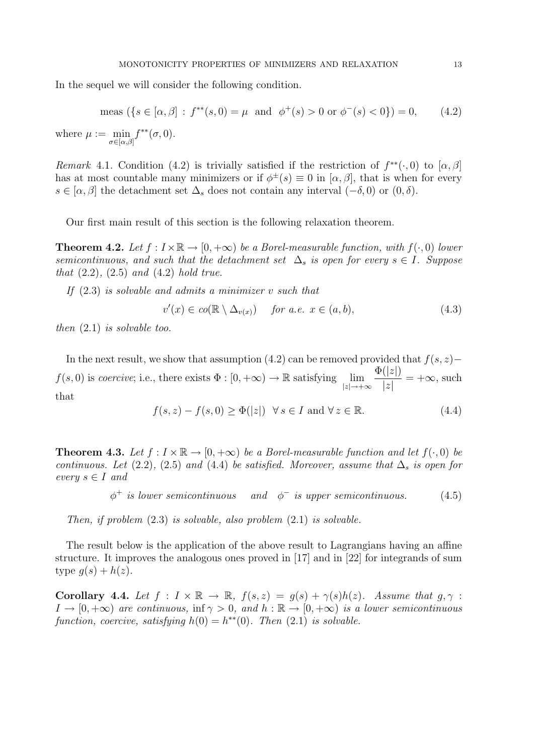In the sequel we will consider the following condition.

$$
\text{meas } (\{s \in [\alpha, \beta] : f^{**}(s, 0) = \mu \text{ and } \phi^+(s) > 0 \text{ or } \phi^-(s) < 0\}) = 0,\tag{4.2}
$$
\n
$$
\text{Meas } \mu := \min f^{**}(\sigma, 0)
$$

where  $\mu := \min_{\sigma \in [\alpha, \beta]} f^{**}(\sigma, 0).$ 

Remark 4.1. Condition (4.2) is trivially satisfied if the restriction of  $f^{**}(\cdot,0)$  to  $[\alpha,\beta]$ has at most countable many minimizers or if  $\phi^{\pm}(s) \equiv 0$  in  $[\alpha, \beta]$ , that is when for every  $s \in [\alpha, \beta]$  the detachment set  $\Delta_s$  does not contain any interval  $(-\delta, 0)$  or  $(0, \delta)$ .

Our first main result of this section is the following relaxation theorem.

**Theorem 4.2.** Let  $f: I \times \mathbb{R} \to [0, +\infty)$  be a Borel-measurable function, with  $f(\cdot, 0)$  lower semicontinuous, and such that the detachment set  $\Delta_s$  is open for every  $s \in I$ . Suppose that  $(2.2)$ ,  $(2.5)$  and  $(4.2)$  hold true.

If  $(2.3)$  is solvable and admits a minimizer v such that

$$
v'(x) \in co(\mathbb{R} \setminus \Delta_{v(x)}) \quad \text{for a.e. } x \in (a, b), \tag{4.3}
$$

then  $(2.1)$  is solvable too.

In the next result, we show that assumption (4.2) can be removed provided that  $f(s, z)$ −  $f(s, 0)$  is coercive; i.e., there exists  $\Phi : [0, +\infty) \to \mathbb{R}$  satisfying  $\lim_{|z| \to +\infty}$  $\Phi(|z|)$  $|z|$  $= +\infty$ , such that

$$
f(s, z) - f(s, 0) \ge \Phi(|z|) \quad \forall \, s \in I \text{ and } \forall \, z \in \mathbb{R}.\tag{4.4}
$$

**Theorem 4.3.** Let  $f: I \times \mathbb{R} \to [0, +\infty)$  be a Borel-measurable function and let  $f(\cdot, 0)$  be continuous. Let (2.2), (2.5) and (4.4) be satisfied. Moreover, assume that  $\Delta_s$  is open for every  $s \in I$  and

> $\phi^+$  is lower semicontinuous and  $\phi$  $and \quad \phi^-$  is upper semicontinuous. (4.5)

Then, if problem  $(2.3)$  is solvable, also problem  $(2.1)$  is solvable.

The result below is the application of the above result to Lagrangians having an affine structure. It improves the analogous ones proved in [17] and in [22] for integrands of sum type  $g(s) + h(z)$ .

Corollary 4.4. Let  $f: I \times \mathbb{R} \to \mathbb{R}$ ,  $f(s, z) = g(s) + \gamma(s)h(z)$ . Assume that  $g, \gamma$ :  $I \to [0, +\infty)$  are continuous, inf  $\gamma > 0$ , and  $h : \mathbb{R} \to [0, +\infty)$  is a lower semicontinuous function, coercive, satisfying  $h(0) = h^{**}(0)$ . Then (2.1) is solvable.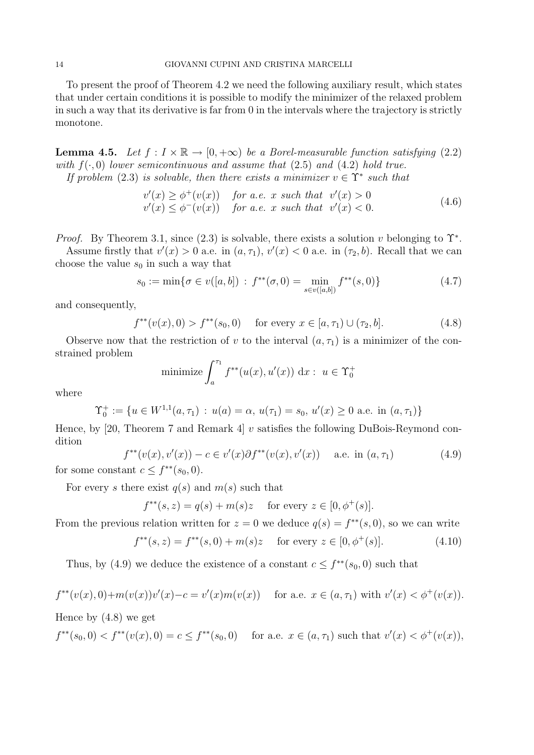To present the proof of Theorem 4.2 we need the following auxiliary result, which states that under certain conditions it is possible to modify the minimizer of the relaxed problem in such a way that its derivative is far from 0 in the intervals where the trajectory is strictly monotone.

**Lemma 4.5.** Let  $f: I \times \mathbb{R} \to [0, +\infty)$  be a Borel-measurable function satisfying (2.2) with  $f(\cdot, 0)$  lower semicontinuous and assume that (2.5) and (4.2) hold true.

If problem (2.3) is solvable, then there exists a minimizer  $v \in \Upsilon^*$  such that

$$
v'(x) \ge \phi^+(v(x)) \quad \text{for a.e. } x \text{ such that } v'(x) > 0
$$
  

$$
v'(x) \le \phi^-(v(x)) \quad \text{for a.e. } x \text{ such that } v'(x) < 0.
$$
 (4.6)

*Proof.* By Theorem 3.1, since  $(2.3)$  is solvable, there exists a solution v belonging to  $\Upsilon^*$ .

Assume firstly that  $v'(x) > 0$  a.e. in  $(a, \tau_1)$ ,  $v'(x) < 0$  a.e. in  $(\tau_2, b)$ . Recall that we can choose the value  $s_0$  in such a way that

$$
s_0 := \min\{\sigma \in v([a, b]) : f^{**}(\sigma, 0) = \min_{s \in v([a, b])} f^{**}(s, 0)\}\
$$
\n(4.7)

and consequently,

$$
f^{**}(v(x),0) > f^{**}(s_0,0) \quad \text{ for every } x \in [a,\tau_1) \cup (\tau_2,b]. \tag{4.8}
$$

Observe now that the restriction of v to the interval  $(a, \tau_1)$  is a minimizer of the constrained problem

$$
\text{minimize} \int_{a}^{\tau_1} f^{**}(u(x), u'(x)) \, \mathrm{d}x : \ u \in \Upsilon_0^+
$$

where

$$
\Upsilon_0^+ := \{ u \in W^{1,1}(a, \tau_1) : u(a) = \alpha, u(\tau_1) = s_0, u'(x) \ge 0 \text{ a.e. in } (a, \tau_1) \}
$$

Hence, by [20, Theorem 7 and Remark 4]  $v$  satisfies the following DuBois-Reymond condition

$$
f^{**}(v(x), v'(x)) - c \in v'(x)\partial f^{**}(v(x), v'(x)) \quad \text{a.e. in } (a, \tau_1)
$$
 (4.9)  
for some constant  $c \le f^{**}(s_0, 0)$ .

For every s there exist  $q(s)$  and  $m(s)$  such that

$$
f^{**}(s, z) = q(s) + m(s)z
$$
 for every  $z \in [0, \phi^+(s)]$ .

From the previous relation written for  $z = 0$  we deduce  $q(s) = f^{**}(s, 0)$ , so we can write

$$
f^{**}(s, z) = f^{**}(s, 0) + m(s)z \quad \text{ for every } z \in [0, \phi^+(s)]. \tag{4.10}
$$

Thus, by (4.9) we deduce the existence of a constant  $c \leq f^{**}(s_0, 0)$  such that

$$
f^{**}(v(x),0) + m(v(x))v'(x) - c = v'(x)m(v(x)) \quad \text{for a.e. } x \in (a, \tau_1) \text{ with } v'(x) < \phi^+(v(x)).
$$

Hence by (4.8) we get

$$
f^{**}(s_0,0) < f^{**}(v(x),0) = c \le f^{**}(s_0,0) \quad \text{ for a.e. } x \in (a, \tau_1) \text{ such that } v'(x) < \phi^+(v(x)),
$$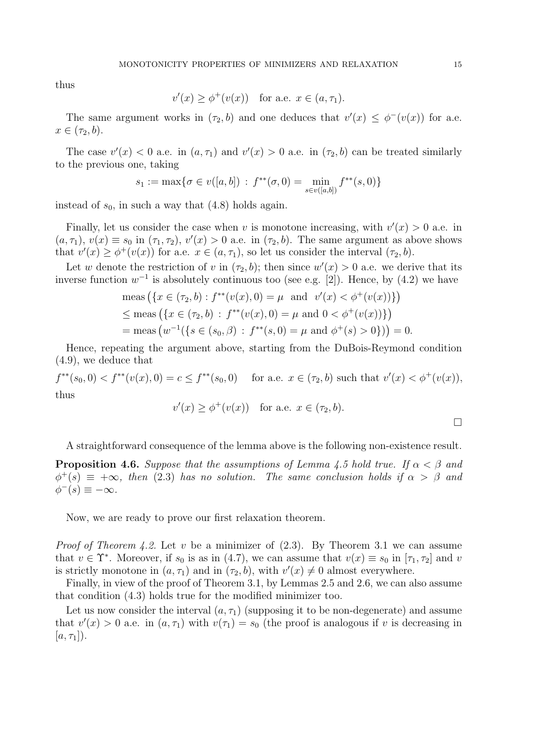thus

$$
v'(x) \ge \phi^+(v(x)) \quad \text{for a.e. } x \in (a, \tau_1).
$$

The same argument works in  $(\tau_2, b)$  and one deduces that  $v'(x) \leq \phi^-(v(x))$  for a.e.  $x \in (\tau_2, b).$ 

The case  $v'(x) < 0$  a.e. in  $(a, \tau_1)$  and  $v'(x) > 0$  a.e. in  $(\tau_2, b)$  can be treated similarly to the previous one, taking

$$
s_1 := \max\{\sigma \in v([a, b]) : f^{**}(\sigma, 0) = \min_{s \in v([a, b])} f^{**}(s, 0)\}
$$

instead of  $s_0$ , in such a way that  $(4.8)$  holds again.

Finally, let us consider the case when v is monotone increasing, with  $v'(x) > 0$  a.e. in  $(a, \tau_1), v(x) \equiv s_0$  in  $(\tau_1, \tau_2), v'(x) > 0$  a.e. in  $(\tau_2, b)$ . The same argument as above shows that  $v'(x) \geq \phi^+(v(x))$  for a.e.  $x \in (a, \tau_1)$ , so let us consider the interval  $(\tau_2, b)$ .

Let w denote the restriction of v in  $(\tau_2, b)$ ; then since  $w'(x) > 0$  a.e. we derive that its inverse function  $w^{-1}$  is absolutely continuous too (see e.g. [2]). Hence, by (4.2) we have

$$
\text{meas}\left(\{x \in (\tau_2, b) : f^{**}(v(x), 0) = \mu \text{ and } v'(x) < \phi^+(v(x))\}\right)
$$
\n
$$
\leq \text{meas}\left(\{x \in (\tau_2, b) : f^{**}(v(x), 0) = \mu \text{ and } 0 < \phi^+(v(x))\}\right)
$$
\n
$$
= \text{meas}\left(w^{-1}(\{s \in (s_0, \beta) : f^{**}(s, 0) = \mu \text{ and } \phi^+(s) > 0\}\right)) = 0.
$$

Hence, repeating the argument above, starting from the DuBois-Reymond condition (4.9), we deduce that

 $f^{**}(s_0,0) < f^{**}(v(x),0) = c \le f^{**}(s_0,0)$  for a.e.  $x \in (\tau_2, b)$  such that  $v'(x) < \phi^+(v(x))$ , thus

$$
v'(x) \ge \phi^+(v(x)) \quad \text{for a.e. } x \in (\tau_2, b).
$$

A straightforward consequence of the lemma above is the following non-existence result.

**Proposition 4.6.** Suppose that the assumptions of Lemma 4.5 hold true. If  $\alpha < \beta$  and  $\phi^+(s) \equiv +\infty$ , then (2.3) has no solution. The same conclusion holds if  $\alpha > \beta$  and  $\phi^-(s) \equiv -\infty$ .

Now, we are ready to prove our first relaxation theorem.

*Proof of Theorem 4.2.* Let v be a minimizer of  $(2.3)$ . By Theorem 3.1 we can assume that  $v \in \Upsilon^*$ . Moreover, if  $s_0$  is as in (4.7), we can assume that  $v(x) \equiv s_0$  in  $[\tau_1, \tau_2]$  and v is strictly monotone in  $(a, \tau_1)$  and in  $(\tau_2, b)$ , with  $v'(x) \neq 0$  almost everywhere.

Finally, in view of the proof of Theorem 3.1, by Lemmas 2.5 and 2.6, we can also assume that condition (4.3) holds true for the modified minimizer too.

Let us now consider the interval  $(a, \tau_1)$  (supposing it to be non-degenerate) and assume that  $v'(x) > 0$  a.e. in  $(a, \tau_1)$  with  $v(\tau_1) = s_0$  (the proof is analogous if v is decreasing in  $[a, \tau_1]$ ).

 $\Box$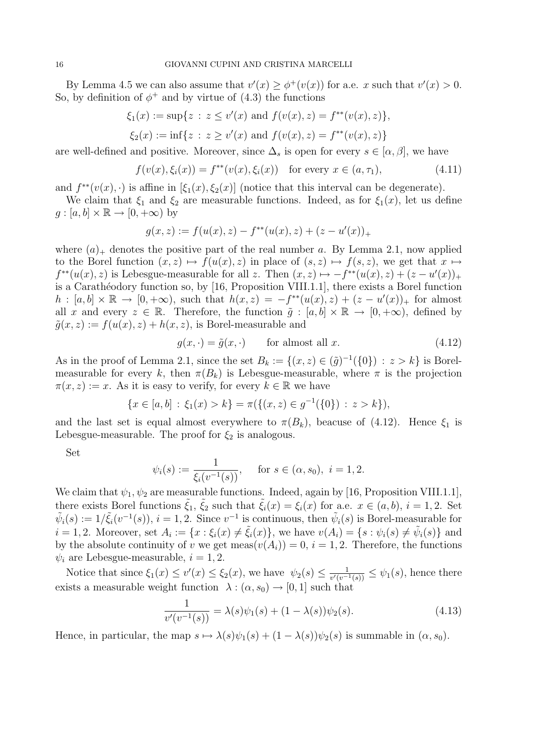By Lemma 4.5 we can also assume that  $v'(x) \geq \phi^+(v(x))$  for a.e. x such that  $v'(x) > 0$ . So, by definition of  $\phi^+$  and by virtue of (4.3) the functions

$$
\xi_1(x) := \sup\{z \,:\, z \le v'(x) \text{ and } f(v(x), z) = f^{**}(v(x), z)\},
$$

$$
\xi_2(x) := \inf\{z : z \ge v'(x) \text{ and } f(v(x), z) = f^{**}(v(x), z)\}\
$$

are well-defined and positive. Moreover, since  $\Delta_s$  is open for every  $s \in [\alpha, \beta]$ , we have

$$
f(v(x), \xi_i(x)) = f^{**}(v(x), \xi_i(x)) \text{ for every } x \in (a, \tau_1),
$$
 (4.11)

and  $f^{**}(v(x), \cdot)$  is affine in  $[\xi_1(x), \xi_2(x)]$  (notice that this interval can be degenerate).

We claim that  $\xi_1$  and  $\xi_2$  are measurable functions. Indeed, as for  $\xi_1(x)$ , let us define  $g : [a, b] \times \mathbb{R} \to [0, +\infty)$  by

$$
g(x, z) := f(u(x), z) - f^{**}(u(x), z) + (z - u'(x))_{+}
$$

where  $(a)_+$  denotes the positive part of the real number a. By Lemma 2.1, now applied to the Borel function  $(x, z) \mapsto f(u(x), z)$  in place of  $(s, z) \mapsto f(s, z)$ , we get that  $x \mapsto$  $f^{**}(u(x), z)$  is Lebesgue-measurable for all z. Then  $(x, z) \mapsto -f^{**}(u(x), z) + (z - u'(x))_{+}$ is a Carathéodory function so, by [16, Proposition VIII.1.1], there exists a Borel function  $h: [a, b] \times \mathbb{R} \to [0, +\infty)$ , such that  $h(x, z) = -f^{**}(u(x), z) + (z - u'(x))_{+}$  for almost all x and every  $z \in \mathbb{R}$ . Therefore, the function  $\tilde{g} : [a, b] \times \mathbb{R} \to [0, +\infty)$ , defined by  $\tilde{g}(x, z) := f(u(x), z) + h(x, z)$ , is Borel-measurable and

$$
g(x, \cdot) = \tilde{g}(x, \cdot) \qquad \text{for almost all } x. \tag{4.12}
$$

As in the proof of Lemma 2.1, since the set  $B_k := \{(x, z) \in (\tilde{g})^{-1}(\{0\}) : z > k\}$  is Borelmeasurable for every k, then  $\pi(B_k)$  is Lebesgue-measurable, where  $\pi$  is the projection  $\pi(x, z) := x$ . As it is easy to verify, for every  $k \in \mathbb{R}$  we have

$$
\{x \in [a, b] : \xi_1(x) > k\} = \pi(\{(x, z) \in g^{-1}(\{0\}) : z > k\}),
$$

and the last set is equal almost everywhere to  $\pi(B_k)$ , beacuse of (4.12). Hence  $\xi_1$  is Lebesgue-measurable. The proof for  $\xi_2$  is analogous.

Set

$$
\psi_i(s) := \frac{1}{\xi_i(v^{-1}(s))}
$$
, for  $s \in (\alpha, s_0)$ ,  $i = 1, 2$ .

We claim that  $\psi_1, \psi_2$  are measurable functions. Indeed, again by [16, Proposition VIII.1.1], there exists Borel functions  $\tilde{\xi}_1, \tilde{\xi}_2$  such that  $\tilde{\xi}_i(x) = \xi_i(x)$  for a.e.  $x \in (a, b), i = 1, 2$ . Set  $\tilde{\psi}_i(s) := 1/\tilde{\xi}_i(v^{-1}(s)), i = 1, 2$ . Since  $v^{-1}$  is continuous, then  $\tilde{\psi}_i(s)$  is Borel-measurable for  $i = 1, 2$ . Moreover, set  $A_i := \{x : \xi_i(x) \neq \tilde{\xi}_i(x)\}$ , we have  $v(A_i) = \{s : \psi_i(s) \neq \tilde{\psi}_i(s)\}$  and by the absolute continuity of v we get meas $(v(A_i)) = 0$ ,  $i = 1, 2$ . Therefore, the functions  $\psi_i$  are Lebesgue-measurable,  $i = 1, 2$ .

Notice that since  $\xi_1(x) \leq v'(x) \leq \xi_2(x)$ , we have  $\psi_2(s) \leq \frac{1}{v'(v-1)}$  $\frac{1}{v'(v^{-1}(s))} \leq \psi_1(s)$ , hence there exists a measurable weight function  $\lambda : (\alpha, s_0) \to [0, 1]$  such that

$$
\frac{1}{v'(v^{-1}(s))} = \lambda(s)\psi_1(s) + (1 - \lambda(s))\psi_2(s).
$$
\n(4.13)

Hence, in particular, the map  $s \mapsto \lambda(s)\psi_1(s) + (1 - \lambda(s))\psi_2(s)$  is summable in  $(\alpha, s_0)$ .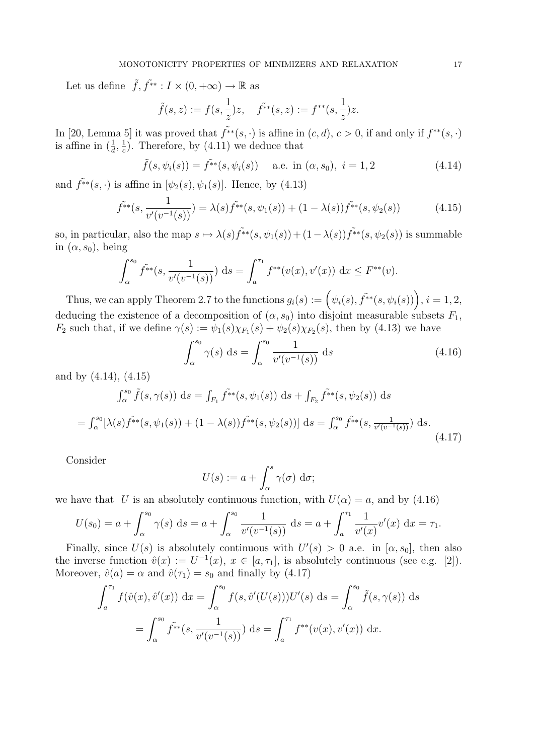Let us define  $\tilde{f}, \tilde{f}^* : I \times (0, +\infty) \to \mathbb{R}$  as

$$
\tilde{f}(s, z) := f(s, \frac{1}{z})z
$$
,  $\tilde{f}^{**}(s, z) := f^{**}(s, \frac{1}{z})z$ .

In [20, Lemma 5] it was proved that  $\tilde{f}^{*}(s, \cdot)$  is affine in  $(c, d), c > 0$ , if and only if  $f^{**}(s, \cdot)$ is affine in  $(\frac{1}{d}, \frac{1}{c})$  $\frac{1}{c}$ ). Therefore, by (4.11) we deduce that

$$
\tilde{f}(s, \psi_i(s)) = \tilde{f}^{**}(s, \psi_i(s))
$$
 a.e. in  $(\alpha, s_0)$ ,  $i = 1, 2$  (4.14)

and  $\tilde{f}^{**}(s, \cdot)$  is affine in  $[\psi_2(s), \psi_1(s)]$ . Hence, by (4.13)

$$
\tilde{f}^*(s, \frac{1}{v'(v^{-1}(s))}) = \lambda(s)\tilde{f}^*(s, \psi_1(s)) + (1 - \lambda(s))\tilde{f}^*(s, \psi_2(s))
$$
\n(4.15)

so, in particular, also the map  $s \mapsto \lambda(s) f^{\tilde{*}*(s,\psi_1(s))} + (1 - \lambda(s)) f^{\tilde{*}*(s,\psi_2(s))}$  is summable in  $(\alpha, s_0)$ , being

$$
\int_{\alpha}^{s_0} \tilde{f}^{**}(s, \frac{1}{v'(v^{-1}(s))}) ds = \int_{a}^{\tau_1} f^{**}(v(x), v'(x)) dx \le F^{**}(v).
$$

Thus, we can apply Theorem 2.7 to the functions  $g_i(s) := \left(\psi_i(s), \tilde{f^{**}}(s, \psi_i(s))\right), i = 1, 2,$ deducing the existence of a decomposition of  $(\alpha, s_0)$  into disjoint measurable subsets  $F_1$ ,  $F_2$  such that, if we define  $\gamma(s) := \psi_1(s)\chi_{F_1}(s) + \psi_2(s)\chi_{F_2}(s)$ , then by (4.13) we have

$$
\int_{\alpha}^{s_0} \gamma(s) \, ds = \int_{\alpha}^{s_0} \frac{1}{v'(v^{-1}(s))} \, ds \tag{4.16}
$$

and by (4.14), (4.15)

$$
\int_{\alpha}^{s_0} \tilde{f}(s, \gamma(s)) ds = \int_{F_1} \tilde{f}^{**}(s, \psi_1(s)) ds + \int_{F_2} \tilde{f}^{**}(s, \psi_2(s)) ds
$$
  
= 
$$
\int_{\alpha}^{s_0} [\lambda(s) \tilde{f}^{**}(s, \psi_1(s)) + (1 - \lambda(s)) \tilde{f}^{**}(s, \psi_2(s))] ds = \int_{\alpha}^{s_0} \tilde{f}^{**}(s, \frac{1}{v'(v^{-1}(s))}) ds.
$$
 (4.17)

Consider

$$
U(s) := a + \int_{\alpha}^{s} \gamma(\sigma) \, \mathrm{d}\sigma;
$$

we have that U is an absolutely continuous function, with  $U(\alpha) = a$ , and by (4.16)

$$
U(s_0) = a + \int_{\alpha}^{s_0} \gamma(s) \, ds = a + \int_{\alpha}^{s_0} \frac{1}{v'(v^{-1}(s))} \, ds = a + \int_{a}^{\tau_1} \frac{1}{v'(x)} v'(x) \, dx = \tau_1.
$$

Finally, since  $U(s)$  is absolutely continuous with  $U'(s) > 0$  a.e. in  $[\alpha, s_0]$ , then also the inverse function  $\hat{v}(x) := U^{-1}(x), x \in [a, \tau_1],$  is absolutely continuous (see e.g. [2]). Moreover,  $\hat{v}(a) = \alpha$  and  $\hat{v}(\tau_1) = s_0$  and finally by (4.17)

$$
\int_{a}^{\tau_1} f(\hat{v}(x), \hat{v}'(x)) dx = \int_{\alpha}^{s_0} f(s, \hat{v}'(U(s))) U'(s) ds = \int_{\alpha}^{s_0} \tilde{f}(s, \gamma(s)) ds
$$
  
= 
$$
\int_{\alpha}^{s_0} \tilde{f}^{**}(s, \frac{1}{v'(v^{-1}(s))}) ds = \int_{a}^{\tau_1} f^{**}(v(x), v'(x)) dx.
$$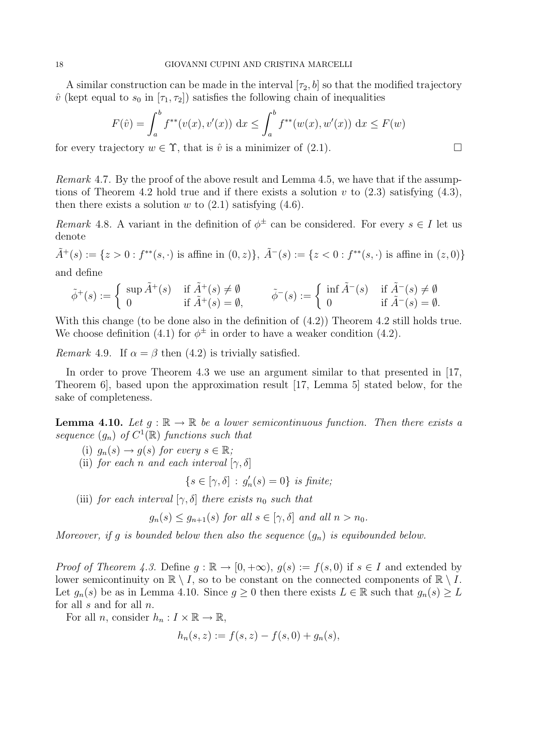A similar construction can be made in the interval  $[\tau_2, b]$  so that the modified trajectory  $\hat{v}$  (kept equal to  $s_0$  in  $[\tau_1, \tau_2]$ ) satisfies the following chain of inequalities

$$
F(\hat{v}) = \int_a^b f^{**}(v(x), v'(x)) dx \le \int_a^b f^{**}(w(x), w'(x)) dx \le F(w)
$$

for every trajectory  $w \in \Upsilon$ , that is  $\hat{v}$  is a minimizer of (2.1).

Remark 4.7. By the proof of the above result and Lemma 4.5, we have that if the assumptions of Theorem 4.2 hold true and if there exists a solution v to  $(2.3)$  satisfying  $(4.3)$ , then there exists a solution  $w$  to  $(2.1)$  satisfying  $(4.6)$ .

Remark 4.8. A variant in the definition of  $\phi^{\pm}$  can be considered. For every  $s \in I$  let us denote

 $\tilde{A}^+(s) := \{z > 0 : f^{**}(s, \cdot) \text{ is affine in } (0, z)\}, \ \tilde{A}^-(s) := \{z < 0 : f^{**}(s, \cdot) \text{ is affine in } (z, 0)\}\$ and define

$$
\tilde{\phi}^+(s) := \begin{cases} \sup \tilde{A}^+(s) & \text{if } \tilde{A}^+(s) \neq \emptyset \\ 0 & \text{if } \tilde{A}^+(s) = \emptyset, \end{cases} \qquad \tilde{\phi}^-(s) := \begin{cases} \inf \tilde{A}^-(s) & \text{if } \tilde{A}^-(s) \neq \emptyset \\ 0 & \text{if } \tilde{A}^-(s) = \emptyset. \end{cases}
$$

With this change (to be done also in the definition of  $(4.2)$ ) Theorem 4.2 still holds true. We choose definition (4.1) for  $\phi^{\pm}$  in order to have a weaker condition (4.2).

Remark 4.9. If  $\alpha = \beta$  then (4.2) is trivially satisfied.

In order to prove Theorem 4.3 we use an argument similar to that presented in [17, Theorem 6], based upon the approximation result [17, Lemma 5] stated below, for the sake of completeness.

**Lemma 4.10.** Let  $g : \mathbb{R} \to \mathbb{R}$  be a lower semicontinuous function. Then there exists a sequence  $(g_n)$  of  $C^1(\mathbb{R})$  functions such that

(i)  $g_n(s) \to g(s)$  for every  $s \in \mathbb{R}$ ;

(ii) for each n and each interval  $[\gamma, \delta]$ 

$$
\{s \in [\gamma, \delta] \, : \, g'_n(s) = 0\} \, \text{ is finite};
$$

(iii) for each interval  $[\gamma, \delta]$  there exists  $n_0$  such that

 $q_n(s) \leq q_{n+1}(s)$  for all  $s \in [\gamma, \delta]$  and all  $n > n_0$ .

Moreover, if g is bounded below then also the sequence  $(q_n)$  is equibounded below.

*Proof of Theorem 4.3.* Define  $g : \mathbb{R} \to [0, +\infty)$ ,  $g(s) := f(s, 0)$  if  $s \in I$  and extended by lower semicontinuity on  $\mathbb{R} \setminus I$ , so to be constant on the connected components of  $\mathbb{R} \setminus I$ . Let  $g_n(s)$  be as in Lemma 4.10. Since  $g \geq 0$  then there exists  $L \in \mathbb{R}$  such that  $g_n(s) \geq L$ for all  $s$  and for all  $n$ .

For all *n*, consider  $h_n: I \times \mathbb{R} \to \mathbb{R}$ ,

$$
h_n(s, z) := f(s, z) - f(s, 0) + g_n(s),
$$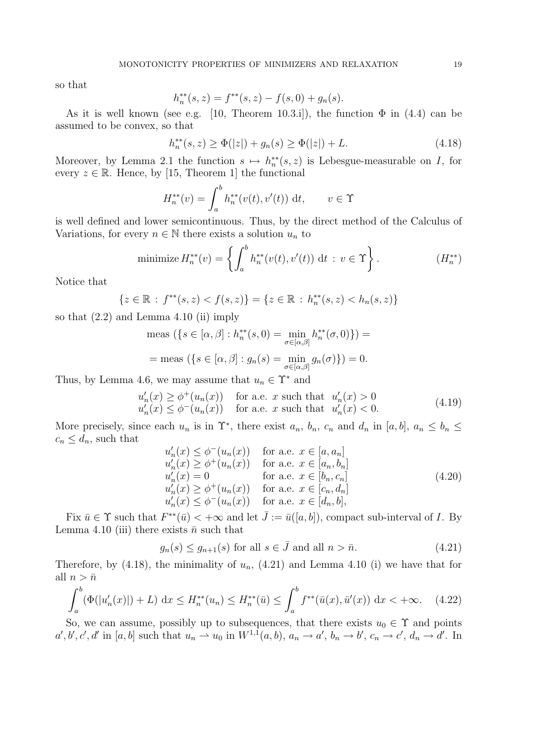so that

$$
h_n^{**}(s, z) = f^{**}(s, z) - f(s, 0) + g_n(s).
$$

As it is well known (see e.g. [10, Theorem 10.3.i]), the function  $\Phi$  in (4.4) can be assumed to be convex, so that

$$
h_n^{**}(s, z) \ge \Phi(|z|) + g_n(s) \ge \Phi(|z|) + L. \tag{4.18}
$$

Moreover, by Lemma 2.1 the function  $s \mapsto h_n^{**}(s, z)$  is Lebesgue-measurable on I, for every  $z \in \mathbb{R}$ . Hence, by [15, Theorem 1] the functional

$$
H_n^{**}(v) = \int_a^b h_n^{**}(v(t), v'(t)) \, \mathrm{d}t, \qquad v \in \Upsilon
$$

is well defined and lower semicontinuous. Thus, by the direct method of the Calculus of Variations, for every  $n \in \mathbb{N}$  there exists a solution  $u_n$  to

minimize 
$$
H_n^{**}(v) = \left\{ \int_a^b h_n^{**}(v(t), v'(t)) dt : v \in \Upsilon \right\}.
$$
  $(H_n^{**})$ 

Notice that

$$
\{z \in \mathbb{R} : f^{**}(s, z) < f(s, z)\} = \{z \in \mathbb{R} : h_n^{**}(s, z) < h_n(s, z)\}
$$

so that  $(2.2)$  and Lemma 4.10 (ii) imply

$$
\text{meas } (\{s \in [\alpha, \beta] : h_n^{**}(s, 0) = \min_{\sigma \in [\alpha, \beta]} h_n^{**}(\sigma, 0) \}) =
$$
\n
$$
= \text{meas } (\{s \in [\alpha, \beta] : g_n(s) = \min_{\sigma \in [\alpha, \beta]} g_n(\sigma) \}) = 0.
$$

Thus, by Lemma 4.6, we may assume that  $u_n \in \Upsilon^*$  and

$$
u'_n(x) \ge \phi^+(u_n(x)) \quad \text{for a.e. } x \text{ such that } u'_n(x) > 0
$$
  

$$
u'_n(x) \le \phi^-(u_n(x)) \quad \text{for a.e. } x \text{ such that } u'_n(x) < 0.
$$
 (4.19)

More precisely, since each  $u_n$  is in  $\Upsilon^*$ , there exist  $a_n$ ,  $b_n$ ,  $c_n$  and  $d_n$  in  $[a, b]$ ,  $a_n \leq b_n \leq$  $c_n \leq d_n$ , such that

$$
u'_n(x) \leq \phi^-(u_n(x)) \quad \text{for a.e. } x \in [a, a_n]
$$
  
\n
$$
u'_n(x) \geq \phi^+(u_n(x)) \quad \text{for a.e. } x \in [a_n, b_n]
$$
  
\n
$$
u'_n(x) = 0 \quad \text{for a.e. } x \in [b_n, c_n]
$$
  
\n
$$
u'_n(x) \geq \phi^+(u_n(x)) \quad \text{for a.e. } x \in [c_n, d_n]
$$
  
\n
$$
u'_n(x) \leq \phi^-(u_n(x)) \quad \text{for a.e. } x \in [d_n, b],
$$
  
\n(4.20)

Fix  $\bar{u} \in \Upsilon$  such that  $F^{**}(\bar{u}) < +\infty$  and let  $\bar{J} := \bar{u}([a, b])$ , compact sub-interval of I. By Lemma 4.10 (iii) there exists  $\bar{n}$  such that

$$
g_n(s) \le g_{n+1}(s) \text{ for all } s \in \bar{J} \text{ and all } n > \bar{n}.\tag{4.21}
$$

Therefore, by (4.18), the minimality of  $u_n$ , (4.21) and Lemma 4.10 (i) we have that for all  $n > \bar{n}$ 

$$
\int_{a}^{b} (\Phi(|u'_{n}(x)|) + L) dx \le H_{n}^{**}(u_{n}) \le H_{n}^{**}(\bar{u}) \le \int_{a}^{b} f^{**}(\bar{u}(x), \bar{u}'(x)) dx < +\infty. \tag{4.22}
$$

So, we can assume, possibly up to subsequences, that there exists  $u_0 \in \Upsilon$  and points  $a', b', c', d'$  in [a, b] such that  $u_n \rightharpoonup u_0$  in  $W^{1,1}(a, b)$ ,  $a_n \rightharpoonup a'$ ,  $b_n \rightharpoonup b'$ ,  $c_n \rightharpoonup c'$ ,  $d_n \rightharpoonup d'$ . In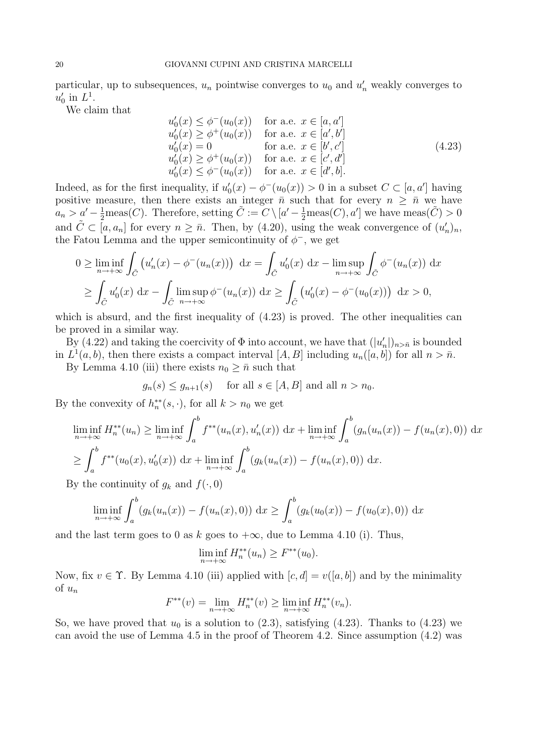particular, up to subsequences,  $u_n$  pointwise converges to  $u_0$  and  $u'_n$  weakly converges to  $u'_0$  in  $L^1$ .

We claim that

$$
u'_0(x) \leq \phi^-(u_0(x)) \quad \text{for a.e. } x \in [a, a']u'_0(x) \geq \phi^+(u_0(x)) \quad \text{for a.e. } x \in [a', b']u'_0(x) = 0 \quad \text{for a.e. } x \in [b', c']u'_0(x) \geq \phi^+(u_0(x)) \quad \text{for a.e. } x \in [c', d']u'_0(x) \leq \phi^-(u_0(x)) \quad \text{for a.e. } x \in [d', b].
$$
 (4.23)

Indeed, as for the first inequality, if  $u'_0(x) - \phi^-(u_0(x)) > 0$  in a subset  $C \subset [a, a']$  having positive measure, then there exists an integer  $\bar{n}$  such that for every  $n \geq \bar{n}$  we have  $a_n > a' - \frac{1}{2}$ meas(*C*). Therefore, setting  $\tilde{C} := C \setminus [a' - \frac{1}{2}$ meas(*C*), *a'*] we have meas( $\tilde{C}$ ) > 0 and  $\tilde{C} \subset [a, a_n]$  for every  $n \geq \bar{n}$ . Then, by (4.20), using the weak convergence of  $(u'_n)_n$ , the Fatou Lemma and the upper semicontinuity of  $\phi^-$ , we get

$$
0 \geq \liminf_{n \to +\infty} \int_{\tilde{C}} \left( u_n'(x) - \phi^-(u_n(x)) \right) dx = \int_{\tilde{C}} u_0'(x) dx - \limsup_{n \to +\infty} \int_{\tilde{C}} \phi^-(u_n(x)) dx
$$
  

$$
\geq \int_{\tilde{C}} u_0'(x) dx - \int_{\tilde{C}} \limsup_{n \to +\infty} \phi^-(u_n(x)) dx \geq \int_{\tilde{C}} \left( u_0'(x) - \phi^-(u_0(x)) \right) dx > 0,
$$

which is absurd, and the first inequality of  $(4.23)$  is proved. The other inequalities can be proved in a similar way.

By (4.22) and taking the coercivity of  $\Phi$  into account, we have that  $(|u'_n|)_{n>\bar{n}}$  is bounded in  $L^1(a, b)$ , then there exists a compact interval  $[A, B]$  including  $u_n([a, b])$  for all  $n > \bar{n}$ .

By Lemma 4.10 (iii) there exists  $n_0 \geq \bar{n}$  such that

$$
g_n(s) \le g_{n+1}(s)
$$
 for all  $s \in [A, B]$  and all  $n > n_0$ .

By the convexity of  $h_n^{**}(s, \cdot)$ , for all  $k > n_0$  we get

$$
\liminf_{n \to +\infty} H_n^{**}(u_n) \ge \liminf_{n \to +\infty} \int_a^b f^{**}(u_n(x), u'_n(x)) \, dx + \liminf_{n \to +\infty} \int_a^b (g_n(u_n(x)) - f(u_n(x), 0)) \, dx
$$
\n
$$
\ge \int_a^b f^{**}(u_0(x), u'_0(x)) \, dx + \liminf_{n \to +\infty} \int_a^b (g_k(u_n(x)) - f(u_n(x), 0)) \, dx.
$$

By the continuity of  $g_k$  and  $f(\cdot, 0)$ 

$$
\liminf_{n \to +\infty} \int_a^b (g_k(u_n(x)) - f(u_n(x), 0)) \, dx \ge \int_a^b (g_k(u_0(x)) - f(u_0(x), 0)) \, dx
$$

and the last term goes to 0 as k goes to  $+\infty$ , due to Lemma 4.10 (i). Thus,

$$
\liminf_{n \to +\infty} H_n^{**}(u_n) \ge F^{**}(u_0).
$$

Now, fix  $v \in \Upsilon$ . By Lemma 4.10 (iii) applied with  $[c, d] = v([a, b])$  and by the minimality of  $u_n$ 

$$
F^{**}(v) = \lim_{n \to +\infty} H_n^{**}(v) \ge \liminf_{n \to +\infty} H_n^{**}(v_n).
$$

So, we have proved that  $u_0$  is a solution to  $(2.3)$ , satisfying  $(4.23)$ . Thanks to  $(4.23)$  we can avoid the use of Lemma 4.5 in the proof of Theorem 4.2. Since assumption (4.2) was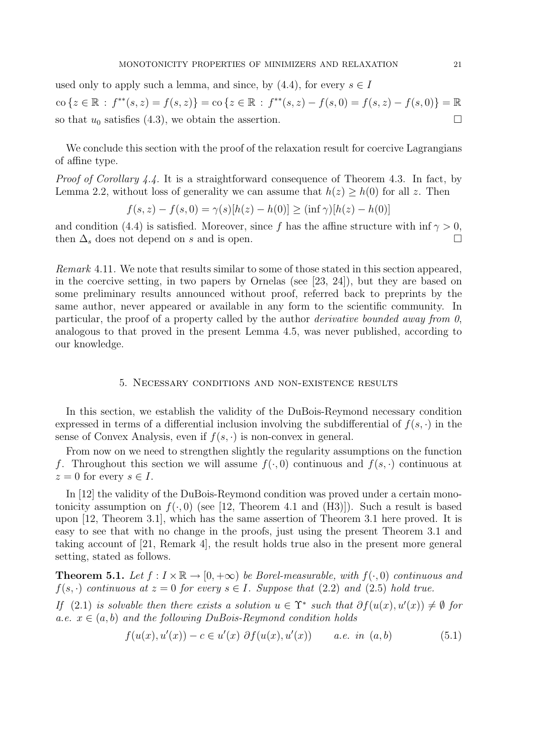used only to apply such a lemma, and since, by  $(4.4)$ , for every  $s \in I$ co { $z \in \mathbb{R}$ :  $f^{**}(s, z) = f(s, z)$ } = co { $z \in \mathbb{R}$ :  $f^{**}(s, z) - f(s, 0) = f(s, z) - f(s, 0)$ } =  $\mathbb{R}$ so that  $u_0$  satisfies (4.3), we obtain the assertion.

We conclude this section with the proof of the relaxation result for coercive Lagrangians of affine type.

*Proof of Corollary 4.4.* It is a straightforward consequence of Theorem 4.3. In fact, by Lemma 2.2, without loss of generality we can assume that  $h(z) \geq h(0)$  for all z. Then

$$
f(s, z) - f(s, 0) = \gamma(s)[h(z) - h(0)] \ge (\inf \gamma)[h(z) - h(0)]
$$

and condition (4.4) is satisfied. Moreover, since f has the affine structure with inf  $\gamma > 0$ , then  $\Delta_s$  does not depend on s and is open.

Remark 4.11. We note that results similar to some of those stated in this section appeared, in the coercive setting, in two papers by Ornelas (see [23, 24]), but they are based on some preliminary results announced without proof, referred back to preprints by the same author, never appeared or available in any form to the scientific community. In particular, the proof of a property called by the author *derivative bounded away from 0*, analogous to that proved in the present Lemma 4.5, was never published, according to our knowledge.

## 5. Necessary conditions and non-existence results

In this section, we establish the validity of the DuBois-Reymond necessary condition expressed in terms of a differential inclusion involving the subdifferential of  $f(s, \cdot)$  in the sense of Convex Analysis, even if  $f(s, \cdot)$  is non-convex in general.

From now on we need to strengthen slightly the regularity assumptions on the function f. Throughout this section we will assume  $f(\cdot, 0)$  continuous and  $f(s, \cdot)$  continuous at  $z = 0$  for every  $s \in I$ .

In [12] the validity of the DuBois-Reymond condition was proved under a certain monotonicity assumption on  $f(., 0)$  (see [12, Theorem 4.1 and (H3)]). Such a result is based upon [12, Theorem 3.1], which has the same assertion of Theorem 3.1 here proved. It is easy to see that with no change in the proofs, just using the present Theorem 3.1 and taking account of [21, Remark 4], the result holds true also in the present more general setting, stated as follows.

**Theorem 5.1.** Let  $f: I \times \mathbb{R} \to [0, +\infty)$  be Borel-measurable, with  $f(\cdot, 0)$  continuous and  $f(s, \cdot)$  continuous at  $z = 0$  for every  $s \in I$ . Suppose that (2.2) and (2.5) hold true.

If (2.1) is solvable then there exists a solution  $u \in \Upsilon^*$  such that  $\partial f(u(x), u'(x)) \neq \emptyset$  for a.e.  $x \in (a, b)$  and the following DuBois-Reymond condition holds

$$
f(u(x), u'(x)) - c \in u'(x) \partial f(u(x), u'(x)) \qquad a.e. \text{ in } (a, b)
$$
 (5.1)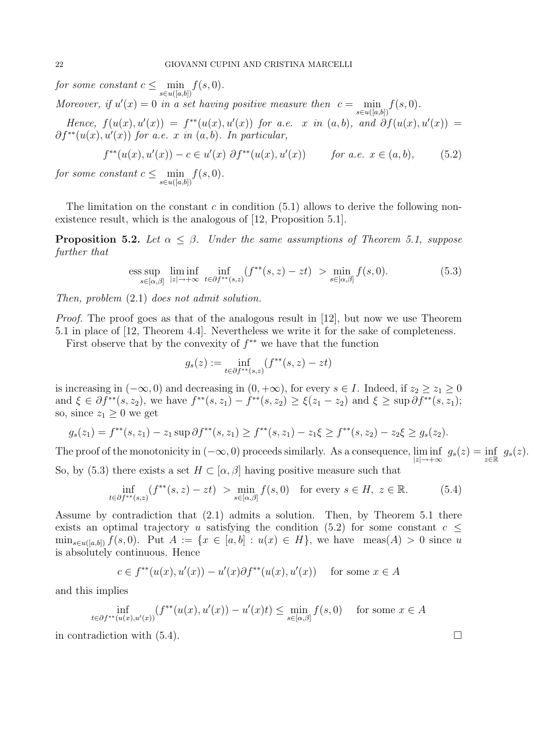for some constant  $c \leq \min_{s \in u([a,b])} f(s,0)$ .

Moreover, if  $u'(x) = 0$  in a set having positive measure then  $c = \min_{s \in u([a,b])} f(s,0)$ .

Hence,  $f(u(x), u'(x)) = f^{**}(u(x), u'(x))$  for a.e. x in  $(a, b)$ , and  $\partial f(u(x), u'(x)) =$  $\partial f^{**}(u(x), u'(x))$  for a.e. x in  $(a, b)$ . In particular,

$$
f^{**}(u(x), u'(x)) - c \in u'(x) \partial f^{**}(u(x), u'(x)) \qquad \text{for a.e. } x \in (a, b), \tag{5.2}
$$

for some constant  $c \leq \min_{s \in u([a,b])} f(s,0)$ .

The limitation on the constant c in condition  $(5.1)$  allows to derive the following nonexistence result, which is the analogous of [12, Proposition 5.1].

**Proposition 5.2.** Let  $\alpha \leq \beta$ . Under the same assumptions of Theorem 5.1, suppose further that

ess sup 
$$
\lim_{s \in [\alpha,\beta]} \lim_{|z| \to +\infty} \inf_{t \in \partial f^{**}(s,z)} (f^{**}(s,z) - zt) > \min_{s \in [\alpha,\beta]} f(s,0).
$$
 (5.3)

Then, problem (2.1) does not admit solution.

Proof. The proof goes as that of the analogous result in [12], but now we use Theorem 5.1 in place of [12, Theorem 4.4]. Nevertheless we write it for the sake of completeness.

First observe that by the convexity of  $f^{**}$  we have that the function

$$
g_s(z) := \inf_{t \in \partial f^{**}(s,z)} (f^{**}(s,z) - zt)
$$

is increasing in  $(-\infty, 0)$  and decreasing in  $(0, +\infty)$ , for every  $s \in I$ . Indeed, if  $z_2 \ge z_1 \ge 0$ and  $\xi \in \partial f^{**}(s, z_2)$ , we have  $f^{**}(s, z_1) - f^{**}(s, z_2) \ge \xi(z_1 - z_2)$  and  $\xi \ge \sup \partial f^{**}(s, z_1)$ ; so, since  $z_1 \geq 0$  we get

$$
g_s(z_1) = f^{**}(s, z_1) - z_1 \sup \partial f^{**}(s, z_1) \ge f^{**}(s, z_1) - z_1 \xi \ge f^{**}(s, z_2) - z_2 \xi \ge g_s(z_2).
$$

The proof of the monotonicity in  $(-\infty, 0)$  proceeds similarly. As a consequence,  $\liminf_{|z| \to +\infty} g_s(z) = \inf_{z \in \mathbb{R}} g_s(z)$ . So, by (5.3) there exists a set  $H \subset [\alpha, \beta]$  having positive measure such that

$$
\inf_{t \in \partial f^{**}(s,z)} (f^{**}(s,z) - zt) > \min_{s \in [\alpha,\beta]} f(s,0) \quad \text{for every } s \in H, \ z \in \mathbb{R}.
$$
 (5.4)

Assume by contradiction that (2.1) admits a solution. Then, by Theorem 5.1 there exists an optimal trajectory u satisfying the condition (5.2) for some constant  $c \leq$  $\min_{s\in u([a,b])} f(s,0)$ . Put  $A := \{x \in [a,b] : u(x) \in H\}$ , we have  $meas(A) > 0$  since u is absolutely continuous. Hence

$$
c \in f^{**}(u(x), u'(x)) - u'(x)\partial f^{**}(u(x), u'(x)) \quad \text{ for some } x \in A
$$

and this implies

$$
\inf_{t \in \partial f^{**}(u(x), u'(x))} (f^{**}(u(x), u'(x)) - u'(x)t) \le \min_{s \in [\alpha, \beta]} f(s, 0) \quad \text{ for some } x \in A
$$

in contradiction with  $(5.4)$ .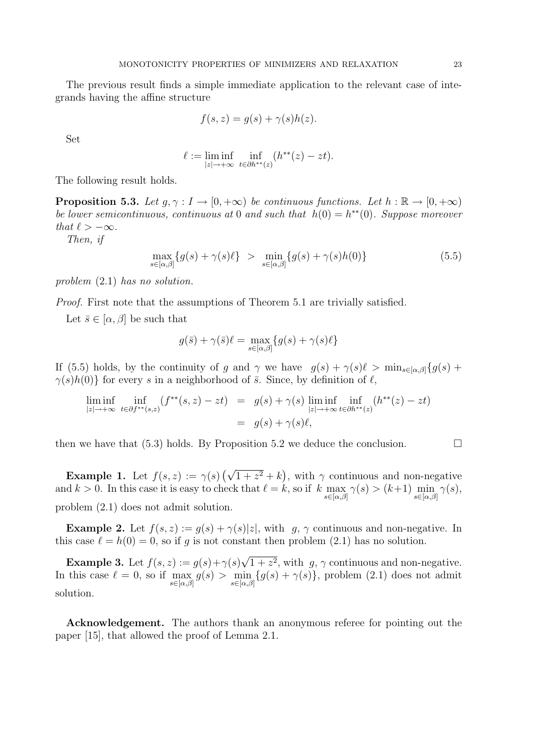The previous result finds a simple immediate application to the relevant case of integrands having the affine structure

$$
f(s, z) = g(s) + \gamma(s)h(z).
$$

Set

$$
\ell := \liminf_{|z| \to +\infty} \inf_{t \in \partial h^{**}(z)} (h^{**}(z) - zt).
$$

The following result holds.

**Proposition 5.3.** Let  $q, \gamma : I \to [0, +\infty)$  be continuous functions. Let  $h : \mathbb{R} \to [0, +\infty)$ be lower semicontinuous, continuous at 0 and such that  $h(0) = h^{**}(0)$ . Suppose moreover that  $\ell > -\infty$ .

Then, if

$$
\max_{s \in [\alpha,\beta]} \{g(s) + \gamma(s)\ell\} > \min_{s \in [\alpha,\beta]} \{g(s) + \gamma(s)h(0)\}\n \tag{5.5}
$$

problem (2.1) has no solution.

Proof. First note that the assumptions of Theorem 5.1 are trivially satisfied.

Let  $\bar{s} \in [\alpha, \beta]$  be such that

$$
g(\bar{s}) + \gamma(\bar{s})\ell = \max_{s \in [\alpha, \beta]} \{g(s) + \gamma(s)\ell\}
$$

If (5.5) holds, by the continuity of g and  $\gamma$  we have  $g(s) + \gamma(s)\ell > \min_{s \in [\alpha, \beta]} \{g(s) +$  $\gamma(s)h(0)$ } for every s in a neighborhood of  $\bar{s}$ . Since, by definition of  $\ell$ ,

$$
\liminf_{|z| \to +\infty} \inf_{t \in \partial f^{**}(s,z)} (f^{**}(s,z) - zt) = g(s) + \gamma(s) \liminf_{|z| \to +\infty} \inf_{t \in \partial h^{**}(z)} (h^{**}(z) - zt)
$$

$$
= g(s) + \gamma(s)\ell,
$$

then we have that (5.3) holds. By Proposition 5.2 we deduce the conclusion.  $\Box$ 

**Example 1.** Let  $f(s, z) := \gamma(s) \left(\sqrt{1 + z^2} + k\right)$ , with  $\gamma$  continuous and non-negative and  $k > 0$ . In this case it is easy to check that  $\ell = k$ , so if  $k \max_{s \in [\alpha,\beta]} \gamma(s) > (k+1) \min_{s \in [\alpha,\beta]} \gamma(s)$ , problem (2.1) does not admit solution.

**Example 2.** Let  $f(s, z) := g(s) + \gamma(s)|z|$ , with g,  $\gamma$  continuous and non-negative. In this case  $\ell = h(0) = 0$ , so if g is not constant then problem (2.1) has no solution.

**Example 3.** Let  $f(s, z) := g(s) + \gamma(s)$ √  $1 + z^2$ , with  $g, \gamma$  continuous and non-negative. In this case  $\ell = 0$ , so if  $\max_{s \in [\alpha,\beta]} g(s) > \min_{s \in [\alpha,\beta]} \{g(s) + \gamma(s)\}\$ , problem (2.1) does not admit solution.

Acknowledgement. The authors thank an anonymous referee for pointing out the paper [15], that allowed the proof of Lemma 2.1.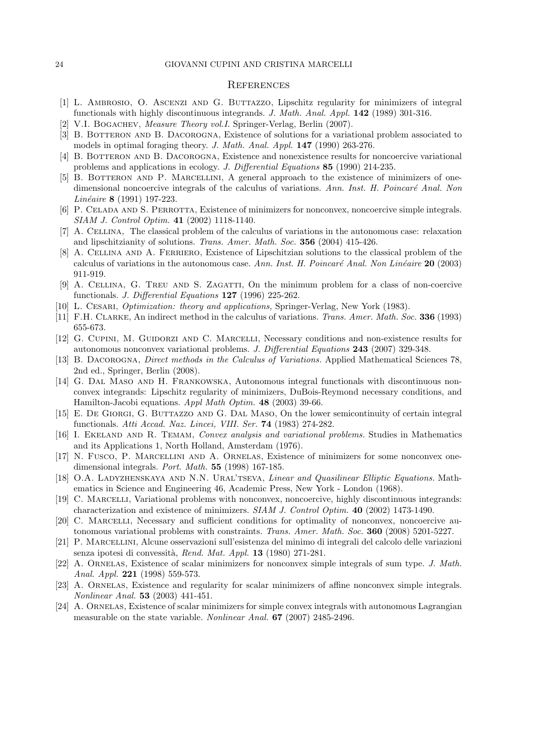#### **REFERENCES**

- [1] L. Ambrosio, O. Ascenzi and G. Buttazzo, Lipschitz regularity for minimizers of integral functionals with highly discontinuous integrands. J. Math. Anal. Appl. 142 (1989) 301-316.
- [2] V.I. BOGACHEV, *Measure Theory vol.I.* Springer-Verlag, Berlin (2007).
- [3] B. BOTTERON AND B. DACOROGNA, Existence of solutions for a variational problem associated to models in optimal foraging theory. J. Math. Anal. Appl. 147 (1990) 263-276.
- [4] B. BOTTERON AND B. DACOROGNA, Existence and nonexistence results for noncoercive variational problems and applications in ecology. J. Differential Equations 85 (1990) 214-235.
- [5] B. Botteron and P. Marcellini, A general approach to the existence of minimizers of onedimensional noncoercive integrals of the calculus of variations. Ann. Inst. H. Poincaré Anal. Non  $Lin\acute{e}aire 8 (1991) 197-223.$
- [6] P. CELADA AND S. PERROTTA, Existence of minimizers for nonconvex, noncoercive simple integrals. SIAM J. Control Optim. 41 (2002) 1118-1140.
- [7] A. Cellina, The classical problem of the calculus of variations in the autonomous case: relaxation and lipschitzianity of solutions. Trans. Amer. Math. Soc. 356 (2004) 415-426.
- [8] A. Cellina and A. Ferriero, Existence of Lipschitzian solutions to the classical problem of the calculus of variations in the autonomous case. Ann. Inst. H. Poincaré Anal. Non Linéaire  $20$  (2003) 911-919.
- [9] A. Cellina, G. Treu and S. Zagatti, On the minimum problem for a class of non-coercive functionals. J. Differential Equations 127 (1996) 225-262.
- [10] L. Cesari, Optimization: theory and applications, Springer-Verlag, New York (1983).
- [11] F.H. CLARKE, An indirect method in the calculus of variations. Trans. Amer. Math. Soc. 336 (1993) 655-673.
- [12] G. CUPINI, M. GUIDORZI AND C. MARCELLI, Necessary conditions and non-existence results for autonomous nonconvex variational problems. J. Differential Equations 243 (2007) 329-348.
- [13] B. DACOROGNA, *Direct methods in the Calculus of Variations*. Applied Mathematical Sciences 78, 2nd ed., Springer, Berlin (2008).
- [14] G. Dal Maso and H. Frankowska, Autonomous integral functionals with discontinuous nonconvex integrands: Lipschitz regularity of minimizers, DuBois-Reymond necessary conditions, and Hamilton-Jacobi equations. Appl Math Optim. 48 (2003) 39-66.
- [15] E. DE GIORGI, G. BUTTAZZO AND G. DAL MASO, On the lower semicontinuity of certain integral functionals. Atti Accad. Naz. Lincei, VIII. Ser. 74 (1983) 274-282.
- [16] I. EKELAND AND R. TEMAM, Convex analysis and variational problems. Studies in Mathematics and its Applications 1, North Holland, Amsterdam (1976).
- [17] N. Fusco, P. Marcellini and A. Ornelas, Existence of minimizers for some nonconvex onedimensional integrals. Port. Math. 55 (1998) 167-185.
- [18] O.A. LADYZHENSKAYA AND N.N. URAL'TSEVA, *Linear and Quasilinear Elliptic Equations*. Mathematics in Science and Engineering 46, Academic Press, New York - London (1968).
- [19] C. Marcelli, Variational problems with nonconvex, noncoercive, highly discontinuous integrands: characterization and existence of minimizers. SIAM J. Control Optim. 40 (2002) 1473-1490.
- [20] C. Marcelli, Necessary and sufficient conditions for optimality of nonconvex, noncoercive autonomous variational problems with constraints. Trans. Amer. Math. Soc. 360 (2008) 5201-5227.
- [21] P. Marcellini, Alcune osservazioni sull'esistenza del minimo di integrali del calcolo delle variazioni senza ipotesi di convessità, Rend. Mat. Appl. 13 (1980) 271-281.
- [22] A. Ornelas, Existence of scalar minimizers for nonconvex simple integrals of sum type. J. Math. Anal. Appl. 221 (1998) 559-573.
- [23] A. Ornelas, Existence and regularity for scalar minimizers of affine nonconvex simple integrals. Nonlinear Anal. 53 (2003) 441-451.
- [24] A. ORNELAS, Existence of scalar minimizers for simple convex integrals with autonomous Lagrangian measurable on the state variable. Nonlinear Anal. 67 (2007) 2485-2496.